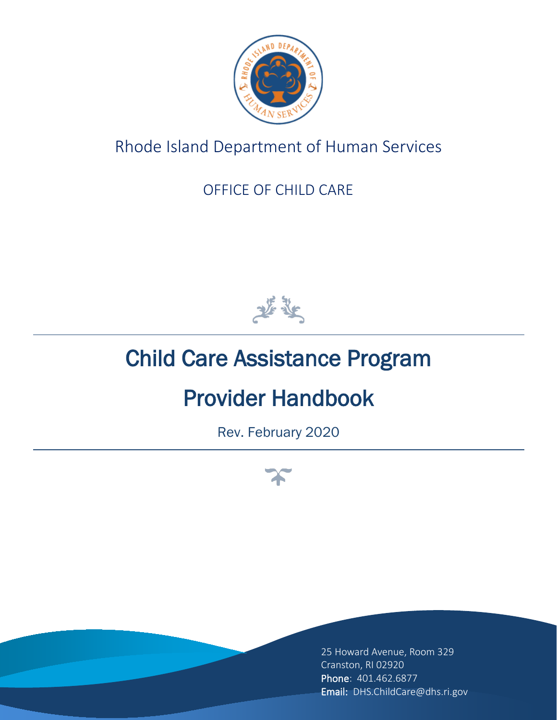

## Rhode Island Department of Human Services

### OFFICE OF CHILD CARE



# Child Care Assistance Program

# Provider Handbook

Rev. February 2020



25 Howard Avenue, Room 329 Cranston, RI 02920 Phone: 401.462.6877 Email: DHS.ChildCare@dhs.ri.gov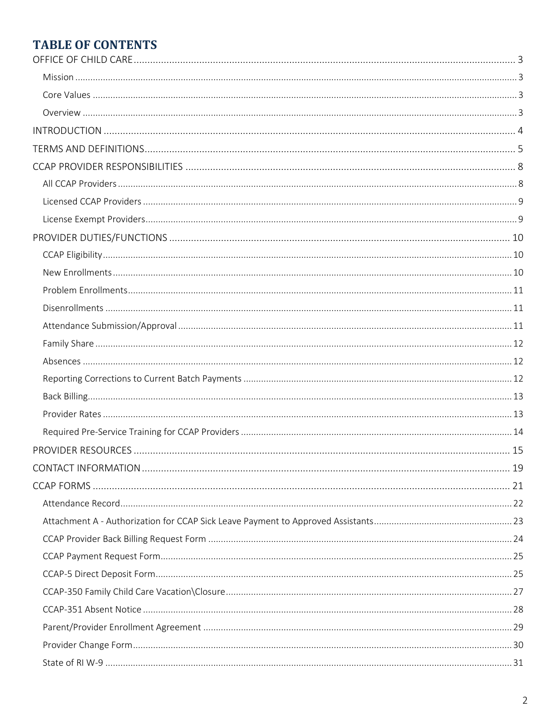### **TABLE OF CONTENTS**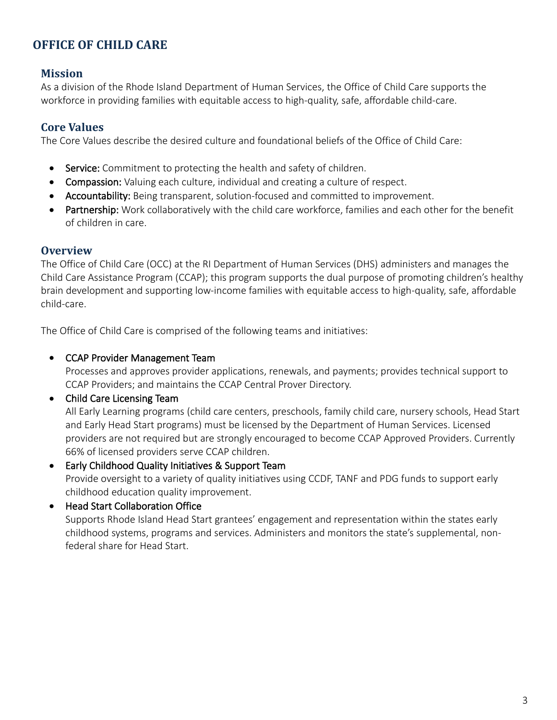#### <span id="page-2-0"></span>**OFFICE OF CHILD CARE**

#### <span id="page-2-1"></span>**Mission**

As a division of the Rhode Island Department of Human Services, the Office of Child Care supports the workforce in providing families with equitable access to high-quality, safe, affordable child-care.

#### <span id="page-2-2"></span>**Core Values**

The Core Values describe the desired culture and foundational beliefs of the Office of Child Care:

- Service: Commitment to protecting the health and safety of children.
- Compassion: Valuing each culture, individual and creating a culture of respect.
- Accountability: Being transparent, solution-focused and committed to improvement.
- Partnership: Work collaboratively with the child care workforce, families and each other for the benefit of children in care.

#### <span id="page-2-3"></span>**Overview**

The Office of Child Care (OCC) at the RI Department of Human Services (DHS) administers and manages the Child Care Assistance Program (CCAP); this program supports the dual purpose of promoting children's healthy brain development and supporting low-income families with equitable access to high-quality, safe, affordable child-care.

The Office of Child Care is comprised of the following teams and initiatives:

#### • CCAP Provider Management Team

Processes and approves provider applications, renewals, and payments; provides technical support to CCAP Providers; and maintains the CCAP Central Prover Directory.

#### • Child Care Licensing Team

All Early Learning programs (child care centers, preschools, family child care, nursery schools, Head Start and Early Head Start programs) must be licensed by the Department of Human Services. Licensed providers are not required but are strongly encouraged to become CCAP Approved Providers. Currently 66% of licensed providers serve CCAP children.

• Early Childhood Quality Initiatives & Support Team Provide oversight to a variety of quality initiatives using CCDF, TANF and PDG funds to support early childhood education quality improvement.

### • Head Start Collaboration Office

Supports Rhode Island Head Start grantees' engagement and representation within the states early childhood systems, programs and services. Administers and monitors the state's supplemental, nonfederal share for Head Start.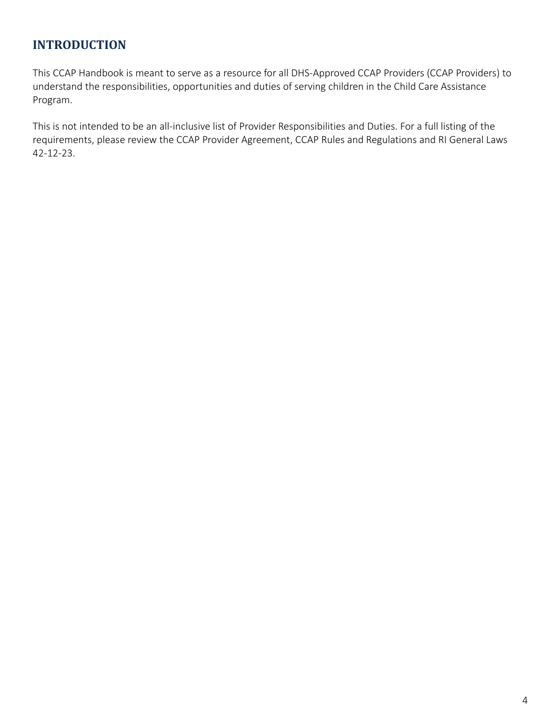#### <span id="page-3-0"></span>**INTRODUCTION**

This CCAP Handbook is meant to serve as a resource for all DHS-Approved CCAP Providers (CCAP Providers) to understand the responsibilities, opportunities and duties of serving children in the Child Care Assistance Program.

This is not intended to be an all-inclusive list of Provider Responsibilities and Duties. For a full listing of the requirements, please review the CCAP Provider Agreement, CCAP Rules and Regulations and RI General Laws 42-12-23.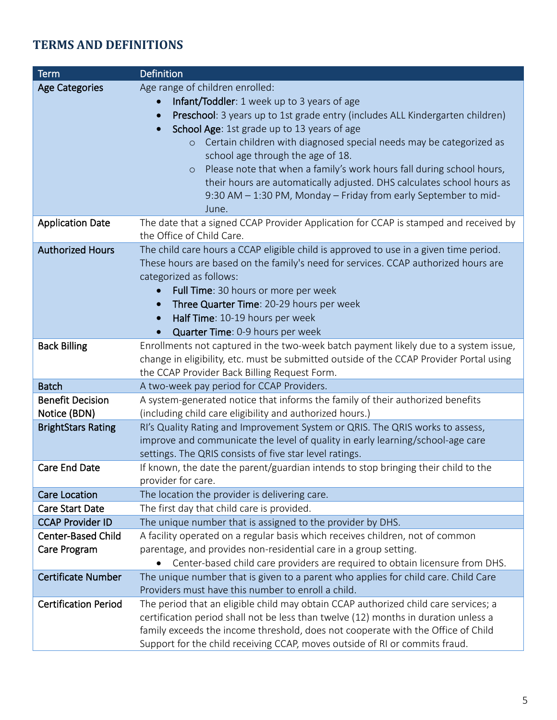### <span id="page-4-0"></span>**TERMS AND DEFINITIONS**

| <b>Term</b>                 | <b>Definition</b>                                                                                                                       |
|-----------------------------|-----------------------------------------------------------------------------------------------------------------------------------------|
| <b>Age Categories</b>       | Age range of children enrolled:                                                                                                         |
|                             | Infant/Toddler: 1 week up to 3 years of age<br>$\bullet$                                                                                |
|                             | Preschool: 3 years up to 1st grade entry (includes ALL Kindergarten children)                                                           |
|                             | School Age: 1st grade up to 13 years of age                                                                                             |
|                             | Certain children with diagnosed special needs may be categorized as<br>$\circ$                                                          |
|                             | school age through the age of 18.                                                                                                       |
|                             | Please note that when a family's work hours fall during school hours,<br>$\circ$                                                        |
|                             | their hours are automatically adjusted. DHS calculates school hours as                                                                  |
|                             | 9:30 AM - 1:30 PM, Monday - Friday from early September to mid-                                                                         |
|                             | June.                                                                                                                                   |
| <b>Application Date</b>     | The date that a signed CCAP Provider Application for CCAP is stamped and received by                                                    |
|                             | the Office of Child Care.                                                                                                               |
| <b>Authorized Hours</b>     | The child care hours a CCAP eligible child is approved to use in a given time period.                                                   |
|                             | These hours are based on the family's need for services. CCAP authorized hours are                                                      |
|                             | categorized as follows:                                                                                                                 |
|                             | Full Time: 30 hours or more per week                                                                                                    |
|                             | Three Quarter Time: 20-29 hours per week<br>$\bullet$                                                                                   |
|                             | Half Time: 10-19 hours per week<br>$\bullet$                                                                                            |
|                             | Quarter Time: 0-9 hours per week                                                                                                        |
| <b>Back Billing</b>         | Enrollments not captured in the two-week batch payment likely due to a system issue,                                                    |
|                             | change in eligibility, etc. must be submitted outside of the CCAP Provider Portal using<br>the CCAP Provider Back Billing Request Form. |
| <b>Batch</b>                | A two-week pay period for CCAP Providers.                                                                                               |
| <b>Benefit Decision</b>     | A system-generated notice that informs the family of their authorized benefits                                                          |
| Notice (BDN)                | (including child care eligibility and authorized hours.)                                                                                |
| <b>BrightStars Rating</b>   | RI's Quality Rating and Improvement System or QRIS. The QRIS works to assess,                                                           |
|                             | improve and communicate the level of quality in early learning/school-age care                                                          |
|                             | settings. The QRIS consists of five star level ratings.                                                                                 |
| <b>Care End Date</b>        | If known, the date the parent/guardian intends to stop bringing their child to the                                                      |
|                             | provider for care.                                                                                                                      |
| <b>Care Location</b>        | The location the provider is delivering care.                                                                                           |
| <b>Care Start Date</b>      | The first day that child care is provided.                                                                                              |
| <b>CCAP Provider ID</b>     | The unique number that is assigned to the provider by DHS.                                                                              |
| <b>Center-Based Child</b>   | A facility operated on a regular basis which receives children, not of common                                                           |
| Care Program                | parentage, and provides non-residential care in a group setting.                                                                        |
|                             | Center-based child care providers are required to obtain licensure from DHS.                                                            |
| <b>Certificate Number</b>   | The unique number that is given to a parent who applies for child care. Child Care                                                      |
|                             | Providers must have this number to enroll a child.                                                                                      |
| <b>Certification Period</b> | The period that an eligible child may obtain CCAP authorized child care services; a                                                     |
|                             | certification period shall not be less than twelve (12) months in duration unless a                                                     |
|                             | family exceeds the income threshold, does not cooperate with the Office of Child                                                        |
|                             | Support for the child receiving CCAP, moves outside of RI or commits fraud.                                                             |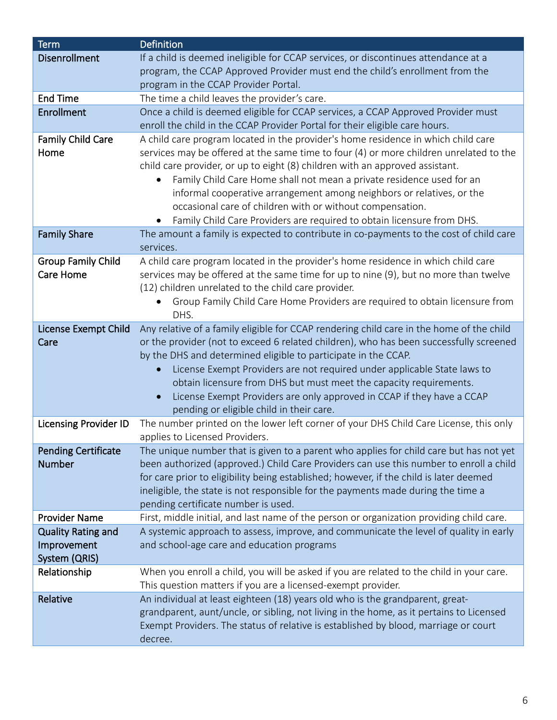| <b>Term</b>                                 | <b>Definition</b>                                                                                                        |
|---------------------------------------------|--------------------------------------------------------------------------------------------------------------------------|
| <b>Disenrollment</b>                        | If a child is deemed ineligible for CCAP services, or discontinues attendance at a                                       |
|                                             | program, the CCAP Approved Provider must end the child's enrollment from the                                             |
|                                             | program in the CCAP Provider Portal.                                                                                     |
| <b>End Time</b>                             | The time a child leaves the provider's care.                                                                             |
| <b>Enrollment</b>                           | Once a child is deemed eligible for CCAP services, a CCAP Approved Provider must                                         |
|                                             | enroll the child in the CCAP Provider Portal for their eligible care hours.                                              |
| <b>Family Child Care</b>                    | A child care program located in the provider's home residence in which child care                                        |
| Home                                        | services may be offered at the same time to four (4) or more children unrelated to the                                   |
|                                             | child care provider, or up to eight (8) children with an approved assistant.                                             |
|                                             | Family Child Care Home shall not mean a private residence used for an<br>$\bullet$                                       |
|                                             | informal cooperative arrangement among neighbors or relatives, or the                                                    |
|                                             | occasional care of children with or without compensation.                                                                |
|                                             | Family Child Care Providers are required to obtain licensure from DHS.                                                   |
| <b>Family Share</b>                         | The amount a family is expected to contribute in co-payments to the cost of child care<br>services.                      |
| <b>Group Family Child</b>                   | A child care program located in the provider's home residence in which child care                                        |
| Care Home                                   | services may be offered at the same time for up to nine (9), but no more than twelve                                     |
|                                             | (12) children unrelated to the child care provider.                                                                      |
|                                             | Group Family Child Care Home Providers are required to obtain licensure from                                             |
|                                             | DHS.                                                                                                                     |
| License Exempt Child                        | Any relative of a family eligible for CCAP rendering child care in the home of the child                                 |
| Care                                        | or the provider (not to exceed 6 related children), who has been successfully screened                                   |
|                                             | by the DHS and determined eligible to participate in the CCAP.                                                           |
|                                             | License Exempt Providers are not required under applicable State laws to                                                 |
|                                             | obtain licensure from DHS but must meet the capacity requirements.                                                       |
|                                             | License Exempt Providers are only approved in CCAP if they have a CCAP<br>$\bullet$                                      |
|                                             | pending or eligible child in their care.                                                                                 |
| <b>Licensing Provider ID</b>                | The number printed on the lower left corner of your DHS Child Care License, this only                                    |
|                                             | applies to Licensed Providers.<br>The unique number that is given to a parent who applies for child care but has not yet |
| <b>Pending Certificate</b><br><b>Number</b> | been authorized (approved.) Child Care Providers can use this number to enroll a child                                   |
|                                             | for care prior to eligibility being established; however, if the child is later deemed                                   |
|                                             | ineligible, the state is not responsible for the payments made during the time a                                         |
|                                             | pending certificate number is used.                                                                                      |
| <b>Provider Name</b>                        | First, middle initial, and last name of the person or organization providing child care.                                 |
| <b>Quality Rating and</b>                   | A systemic approach to assess, improve, and communicate the level of quality in early                                    |
| Improvement                                 | and school-age care and education programs                                                                               |
| System (QRIS)                               |                                                                                                                          |
| Relationship                                | When you enroll a child, you will be asked if you are related to the child in your care.                                 |
|                                             | This question matters if you are a licensed-exempt provider.                                                             |
| Relative                                    | An individual at least eighteen (18) years old who is the grandparent, great-                                            |
|                                             | grandparent, aunt/uncle, or sibling, not living in the home, as it pertains to Licensed                                  |
|                                             | Exempt Providers. The status of relative is established by blood, marriage or court                                      |
|                                             | decree.                                                                                                                  |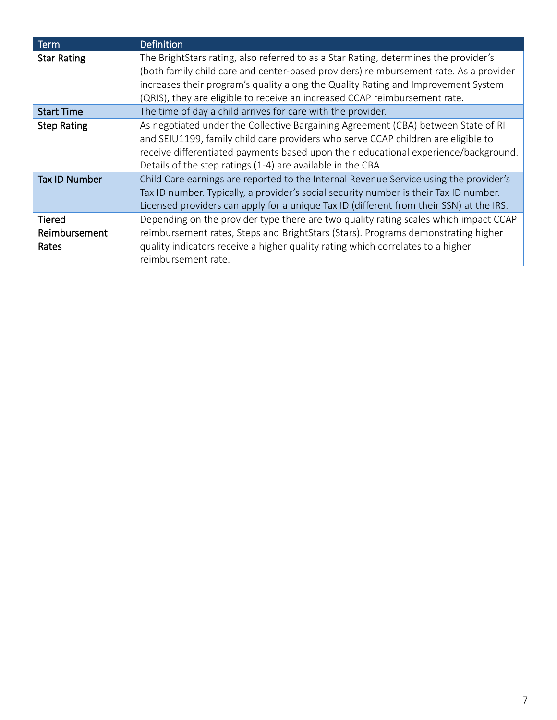| <b>Term</b>                             | <b>Definition</b>                                                                                                                                                                                                                                                                                                                                |
|-----------------------------------------|--------------------------------------------------------------------------------------------------------------------------------------------------------------------------------------------------------------------------------------------------------------------------------------------------------------------------------------------------|
| <b>Star Rating</b>                      | The BrightStars rating, also referred to as a Star Rating, determines the provider's<br>(both family child care and center-based providers) reimbursement rate. As a provider<br>increases their program's quality along the Quality Rating and Improvement System<br>(QRIS), they are eligible to receive an increased CCAP reimbursement rate. |
| <b>Start Time</b>                       | The time of day a child arrives for care with the provider.                                                                                                                                                                                                                                                                                      |
| <b>Step Rating</b>                      | As negotiated under the Collective Bargaining Agreement (CBA) between State of RI<br>and SEIU1199, family child care providers who serve CCAP children are eligible to<br>receive differentiated payments based upon their educational experience/background.<br>Details of the step ratings (1-4) are available in the CBA.                     |
| Tax ID Number                           | Child Care earnings are reported to the Internal Revenue Service using the provider's<br>Tax ID number. Typically, a provider's social security number is their Tax ID number.<br>Licensed providers can apply for a unique Tax ID (different from their SSN) at the IRS.                                                                        |
| <b>Tiered</b><br>Reimbursement<br>Rates | Depending on the provider type there are two quality rating scales which impact CCAP<br>reimbursement rates, Steps and BrightStars (Stars). Programs demonstrating higher<br>quality indicators receive a higher quality rating which correlates to a higher<br>reimbursement rate.                                                              |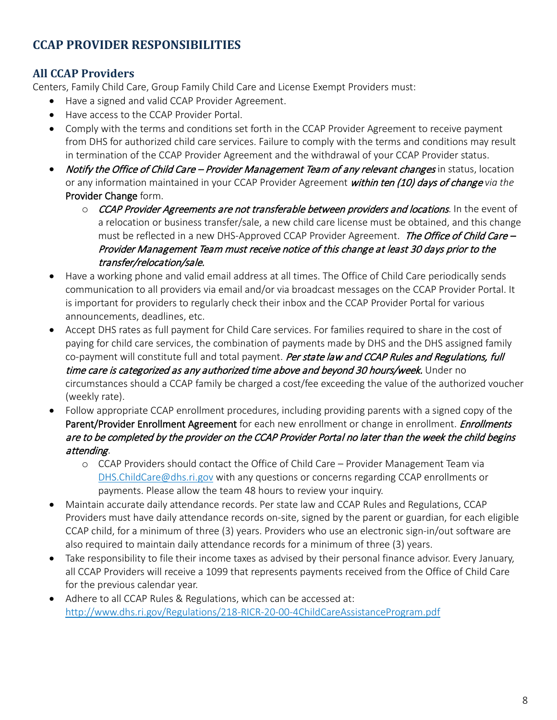### <span id="page-7-0"></span>**CCAP PROVIDER RESPONSIBILITIES**

#### <span id="page-7-1"></span>**All CCAP Providers**

Centers, Family Child Care, Group Family Child Care and License Exempt Providers must:

- Have a signed and valid CCAP Provider Agreement.
- Have access to the CCAP Provider Portal.
- Comply with the terms and conditions set forth in the CCAP Provider Agreement to receive payment from DHS for authorized child care services. Failure to comply with the terms and conditions may result in termination of the CCAP Provider Agreement and the withdrawal of your CCAP Provider status.
- Notify the Office of Child Care Provider Management Team of any relevant changes in status, location or any information maintained in your CCAP Provider Agreement within ten (10) days of change *via the*  Provider Change form.
	- o CCAP Provider Agreements are not transferable between providers and locations. In the event of a relocation or business transfer/sale, a new child care license must be obtained, and this change must be reflected in a new DHS-Approved CCAP Provider Agreement. The Office of Child Care – Provider Management Team must receive notice of this change at least 30 days prior to the transfer/relocation/sale.
- Have a working phone and valid email address at all times. The Office of Child Care periodically sends communication to all providers via email and/or via broadcast messages on the CCAP Provider Portal. It is important for providers to regularly check their inbox and the CCAP Provider Portal for various announcements, deadlines, etc.
- Accept DHS rates as full payment for Child Care services. For families required to share in the cost of paying for child care services, the combination of payments made by DHS and the DHS assigned family co-payment will constitute full and total payment. Per state law and CCAP Rules and Regulations, full time care is categorized as any authorized time above and beyond 30 hours/week. Under no circumstances should a CCAP family be charged a cost/fee exceeding the value of the authorized voucher (weekly rate).
- Follow appropriate CCAP enrollment procedures, including providing parents with a signed copy of the Parent/Provider Enrollment Agreement for each new enrollment or change in enrollment. *Enrollments* are to be completed by the provider on the CCAP Provider Portal no later than the week the child begins attending.
	- o CCAP Providers should contact the Office of Child Care Provider Management Team via [DHS.ChildCare@dhs.ri.gov](mailto:DHS.ChildCare@dhs.ri.gov) with any questions or concerns regarding CCAP enrollments or payments. Please allow the team 48 hours to review your inquiry.
- Maintain accurate daily attendance records. Per state law and CCAP Rules and Regulations, CCAP Providers must have daily attendance records on-site, signed by the parent or guardian, for each eligible CCAP child, for a minimum of three (3) years. Providers who use an electronic sign-in/out software are also required to maintain daily attendance records for a minimum of three (3) years.
- Take responsibility to file their income taxes as advised by their personal finance advisor. Every January, all CCAP Providers will receive a 1099 that represents payments received from the Office of Child Care for the previous calendar year.
- Adhere to all CCAP Rules & Regulations, which can be accessed at: <http://www.dhs.ri.gov/Regulations/218-RICR-20-00-4ChildCareAssistanceProgram.pdf>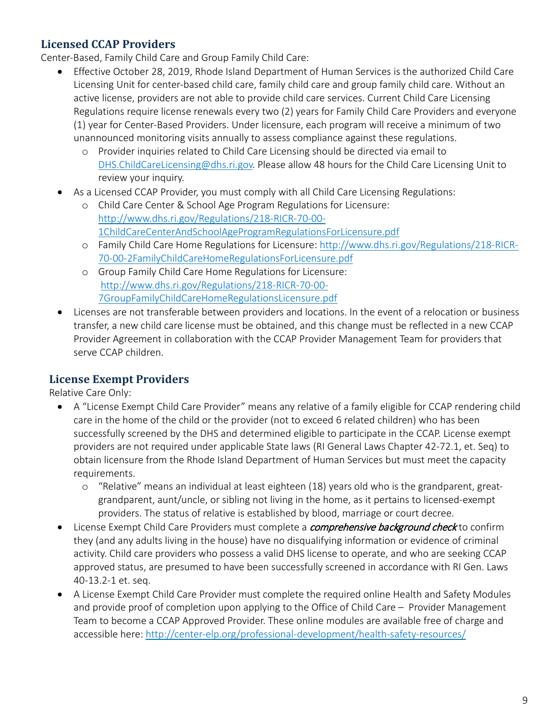#### <span id="page-8-0"></span>**Licensed CCAP Providers**

Center-Based, Family Child Care and Group Family Child Care:

- Effective October 28, 2019, Rhode Island Department of Human Services is the authorized Child Care Licensing Unit for center-based child care, family child care and group family child care. Without an active license, providers are not able to provide child care services. Current Child Care Licensing Regulations require license renewals every two (2) years for Family Child Care Providers and everyone (1) year for Center-Based Providers. Under licensure, each program will receive a minimum of two unannounced monitoring visits annually to assess compliance against these regulations.
	- o Provider inquiries related to Child Care Licensing should be directed via email to [DHS.ChildCareLicensing@dhs.ri.gov.](mailto:DHS.ChildCareLicensing@dhs.ri.gov) Please allow 48 hours for the Child Care Licensing Unit to review your inquiry.
- As a Licensed CCAP Provider, you must comply with all Child Care Licensing Regulations:
	- o Child Care Center & School Age Program Regulations for Licensure: [http://www.dhs.ri.gov/Regulations/218-RICR-70-00-](http://www.dhs.ri.gov/Regulations/218-RICR-70-00-1ChildCareCenterAndSchoolAgeProgramRegulationsForLicensure.pdf) [1ChildCareCenterAndSchoolAgeProgramRegulationsForLicensure.pdf](http://www.dhs.ri.gov/Regulations/218-RICR-70-00-1ChildCareCenterAndSchoolAgeProgramRegulationsForLicensure.pdf)
	- o Family Child Care Home Regulations for Licensure: [http://www.dhs.ri.gov/Regulations/218-RICR-](http://www.dhs.ri.gov/Regulations/218-RICR-70-00-2FamilyChildCareHomeRegulationsForLicensure.pdf)[70-00-2FamilyChildCareHomeRegulationsForLicensure.pdf](http://www.dhs.ri.gov/Regulations/218-RICR-70-00-2FamilyChildCareHomeRegulationsForLicensure.pdf)
	- o Group Family Child Care Home Regulations for Licensure: [http://www.dhs.ri.gov/Regulations/218-RICR-70-00-](http://www.dhs.ri.gov/Regulations/218-RICR-70-00-7GroupFamilyChildCareHomeRegulationsLicensure.pdf) [7GroupFamilyChildCareHomeRegulationsLicensure.pdf](http://www.dhs.ri.gov/Regulations/218-RICR-70-00-7GroupFamilyChildCareHomeRegulationsLicensure.pdf)
- Licenses are not transferable between providers and locations. In the event of a relocation or business transfer, a new child care license must be obtained, and this change must be reflected in a new CCAP Provider Agreement in collaboration with the CCAP Provider Management Team for providers that serve CCAP children.

#### <span id="page-8-1"></span>**License Exempt Providers**

Relative Care Only:

- A "License Exempt Child Care Provider" means any relative of a family eligible for CCAP rendering child care in the home of the child or the provider (not to exceed 6 related children) who has been successfully screened by the DHS and determined eligible to participate in the CCAP. License exempt providers are not required under applicable State laws (RI General Laws Chapter 42-72.1, et. Seq) to obtain licensure from the Rhode Island Department of Human Services but must meet the capacity requirements.
	- o "Relative" means an individual at least eighteen (18) years old who is the grandparent, greatgrandparent, aunt/uncle, or sibling not living in the home, as it pertains to licensed-exempt providers. The status of relative is established by blood, marriage or court decree.
- License Exempt Child Care Providers must complete a *comprehensive background check* to confirm they (and any adults living in the house) have no disqualifying information or evidence of criminal activity. Child care providers who possess a valid DHS license to operate, and who are seeking CCAP approved status, are presumed to have been successfully screened in accordance with RI Gen. Laws 40-13.2-1 et. seq.
- A License Exempt Child Care Provider must complete the required online Health and Safety Modules and provide proof of completion upon applying to the Office of Child Care – Provider Management Team to become a CCAP Approved Provider. These online modules are available free of charge and accessible here:<http://center-elp.org/professional-development/health-safety-resources/>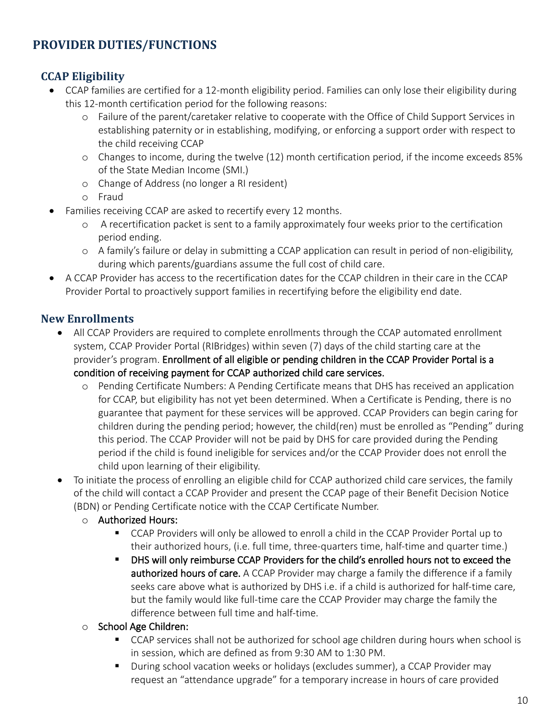### <span id="page-9-0"></span>**PROVIDER DUTIES/FUNCTIONS**

#### <span id="page-9-1"></span>**CCAP Eligibility**

- CCAP families are certified for a 12-month eligibility period. Families can only lose their eligibility during this 12-month certification period for the following reasons:
	- o Failure of the parent/caretaker relative to cooperate with the Office of Child Support Services in establishing paternity or in establishing, modifying, or enforcing a support order with respect to the child receiving CCAP
	- o Changes to income, during the twelve (12) month certification period, if the income exceeds 85% of the State Median Income (SMI.)
	- o Change of Address (no longer a RI resident)
	- o Fraud
- Families receiving CCAP are asked to recertify every 12 months.
	- o A recertification packet is sent to a family approximately four weeks prior to the certification period ending.
	- o A family's failure or delay in submitting a CCAP application can result in period of non-eligibility, during which parents/guardians assume the full cost of child care.
- A CCAP Provider has access to the recertification dates for the CCAP children in their care in the CCAP Provider Portal to proactively support families in recertifying before the eligibility end date.

#### <span id="page-9-2"></span>**New Enrollments**

- All CCAP Providers are required to complete enrollments through the CCAP automated enrollment system, CCAP Provider Portal (RIBridges) within seven (7) days of the child starting care at the provider's program. Enrollment of all eligible or pending children in the CCAP Provider Portal is a condition of receiving payment for CCAP authorized child care services.
	- o Pending Certificate Numbers: A Pending Certificate means that DHS has received an application for CCAP, but eligibility has not yet been determined. When a Certificate is Pending, there is no guarantee that payment for these services will be approved. CCAP Providers can begin caring for children during the pending period; however, the child(ren) must be enrolled as "Pending" during this period. The CCAP Provider will not be paid by DHS for care provided during the Pending period if the child is found ineligible for services and/or the CCAP Provider does not enroll the child upon learning of their eligibility.
- To initiate the process of enrolling an eligible child for CCAP authorized child care services, the family of the child will contact a CCAP Provider and present the CCAP page of their Benefit Decision Notice (BDN) or Pending Certificate notice with the CCAP Certificate Number.
	- o Authorized Hours:
		- CCAP Providers will only be allowed to enroll a child in the CCAP Provider Portal up to their authorized hours, (i.e. full time, three-quarters time, half-time and quarter time.)
		- **DHS will only reimburse CCAP Providers for the child's enrolled hours not to exceed the** authorized hours of care. A CCAP Provider may charge a family the difference if a family seeks care above what is authorized by DHS i.e. if a child is authorized for half-time care, but the family would like full-time care the CCAP Provider may charge the family the difference between full time and half-time.
	- o School Age Children:
		- CCAP services shall not be authorized for school age children during hours when school is in session, which are defined as from 9:30 AM to 1:30 PM.
		- During school vacation weeks or holidays (excludes summer), a CCAP Provider may request an "attendance upgrade" for a temporary increase in hours of care provided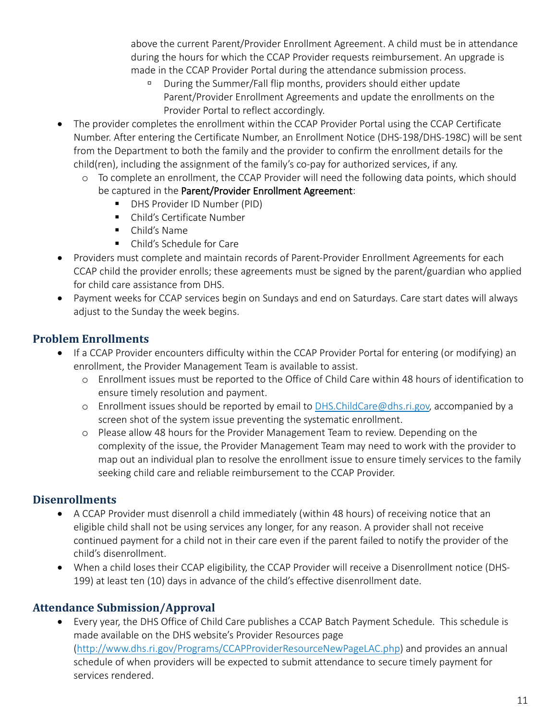above the current Parent/Provider Enrollment Agreement. A child must be in attendance during the hours for which the CCAP Provider requests reimbursement. An upgrade is made in the CCAP Provider Portal during the attendance submission process.

- During the Summer/Fall flip months, providers should either update Parent/Provider Enrollment Agreements and update the enrollments on the Provider Portal to reflect accordingly.
- The provider completes the enrollment within the CCAP Provider Portal using the CCAP Certificate Number. After entering the Certificate Number, an Enrollment Notice (DHS-198/DHS-198C) will be sent from the Department to both the family and the provider to confirm the enrollment details for the child(ren), including the assignment of the family's co-pay for authorized services, if any.
	- o To complete an enrollment, the CCAP Provider will need the following data points, which should be captured in the Parent/Provider Enrollment Agreement:
		- **DHS Provider ID Number (PID)**
		- Child's Certificate Number
		- Child's Name
		- Child's Schedule for Care
- Providers must complete and maintain records of Parent-Provider Enrollment Agreements for each CCAP child the provider enrolls; these agreements must be signed by the parent/guardian who applied for child care assistance from DHS.
- Payment weeks for CCAP services begin on Sundays and end on Saturdays. Care start dates will always adjust to the Sunday the week begins.

#### <span id="page-10-0"></span>**Problem Enrollments**

- If a CCAP Provider encounters difficulty within the CCAP Provider Portal for entering (or modifying) an enrollment, the Provider Management Team is available to assist.
	- o Enrollment issues must be reported to the Office of Child Care within 48 hours of identification to ensure timely resolution and payment.
	- $\circ$  Enrollment issues should be reported by email to [DHS.ChildCare@dhs.ri.gov,](mailto:DHS.ChildCare@dhs.ri.gov) accompanied by a screen shot of the system issue preventing the systematic enrollment.
	- o Please allow 48 hours for the Provider Management Team to review. Depending on the complexity of the issue, the Provider Management Team may need to work with the provider to map out an individual plan to resolve the enrollment issue to ensure timely services to the family seeking child care and reliable reimbursement to the CCAP Provider.

#### <span id="page-10-1"></span>**Disenrollments**

- A CCAP Provider must disenroll a child immediately (within 48 hours) of receiving notice that an eligible child shall not be using services any longer, for any reason. A provider shall not receive continued payment for a child not in their care even if the parent failed to notify the provider of the child's disenrollment.
- When a child loses their CCAP eligibility, the CCAP Provider will receive a Disenrollment notice (DHS-199) at least ten (10) days in advance of the child's effective disenrollment date.

#### <span id="page-10-2"></span>**Attendance Submission/Approval**

• Every year, the DHS Office of Child Care publishes a CCAP Batch Payment Schedule. This schedule is made available on the DHS website's Provider Resources page [\(http://www.dhs.ri.gov/Programs/CCAPProviderResourceNewPageLAC.php\)](http://www.dhs.ri.gov/Programs/CCAPProviderResourceNewPageLAC.php) and provides an annual schedule of when providers will be expected to submit attendance to secure timely payment for services rendered.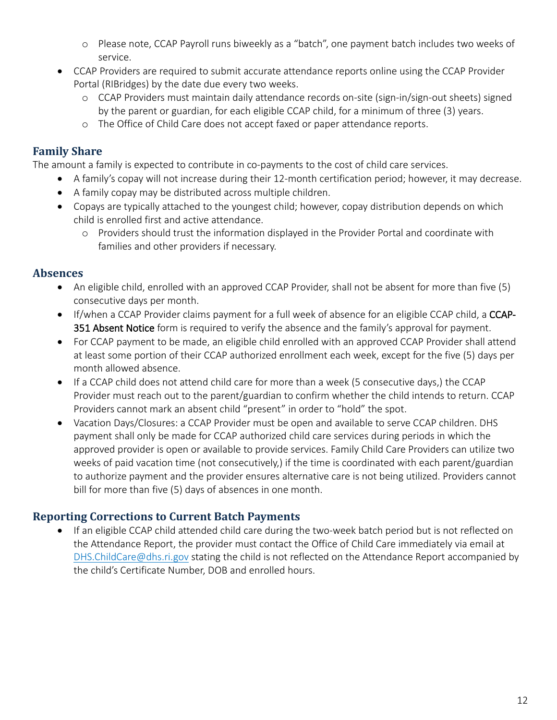- o Please note, CCAP Payroll runs biweekly as a "batch", one payment batch includes two weeks of service.
- CCAP Providers are required to submit accurate attendance reports online using the CCAP Provider Portal (RIBridges) by the date due every two weeks.
	- o CCAP Providers must maintain daily attendance records on-site (sign-in/sign-out sheets) signed by the parent or guardian, for each eligible CCAP child, for a minimum of three (3) years.
	- o The Office of Child Care does not accept faxed or paper attendance reports.

#### <span id="page-11-0"></span>**Family Share**

The amount a family is expected to contribute in co-payments to the cost of child care services.

- A family's copay will not increase during their 12-month certification period; however, it may decrease.
- A family copay may be distributed across multiple children.
- Copays are typically attached to the youngest child; however, copay distribution depends on which child is enrolled first and active attendance.
	- o Providers should trust the information displayed in the Provider Portal and coordinate with families and other providers if necessary.

#### <span id="page-11-1"></span>**Absences**

- An eligible child, enrolled with an approved CCAP Provider, shall not be absent for more than five (5) consecutive days per month.
- If/when a CCAP Provider claims payment for a full week of absence for an eligible CCAP child, a CCAP-351 Absent Notice form is required to verify the absence and the family's approval for payment.
- For CCAP payment to be made, an eligible child enrolled with an approved CCAP Provider shall attend at least some portion of their CCAP authorized enrollment each week, except for the five (5) days per month allowed absence.
- If a CCAP child does not attend child care for more than a week (5 consecutive days,) the CCAP Provider must reach out to the parent/guardian to confirm whether the child intends to return. CCAP Providers cannot mark an absent child "present" in order to "hold" the spot.
- Vacation Days/Closures: a CCAP Provider must be open and available to serve CCAP children. DHS payment shall only be made for CCAP authorized child care services during periods in which the approved provider is open or available to provide services. Family Child Care Providers can utilize two weeks of paid vacation time (not consecutively,) if the time is coordinated with each parent/guardian to authorize payment and the provider ensures alternative care is not being utilized. Providers cannot bill for more than five (5) days of absences in one month.

#### <span id="page-11-2"></span>**Reporting Corrections to Current Batch Payments**

<span id="page-11-3"></span>• If an eligible CCAP child attended child care during the two-week batch period but is not reflected on the Attendance Report, the provider must contact the Office of Child Care immediately via email at [DHS.ChildCare@dhs.ri.gov](mailto:DHS.ChildCare@dhs.ri.gov) stating the child is not reflected on the Attendance Report accompanied by the child's Certificate Number, DOB and enrolled hours.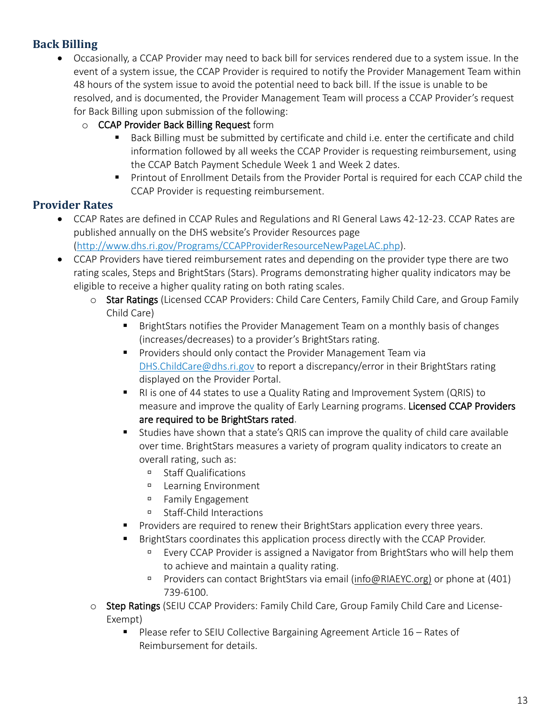#### **Back Billing**

- Occasionally, a CCAP Provider may need to back bill for services rendered due to a system issue. In the event of a system issue, the CCAP Provider is required to notify the Provider Management Team within 48 hours of the system issue to avoid the potential need to back bill. If the issue is unable to be resolved, and is documented, the Provider Management Team will process a CCAP Provider's request for Back Billing upon submission of the following:
	- o CCAP Provider Back Billing Request form
		- **Back Billing must be submitted by certificate and child i.e. enter the certificate and child** information followed by all weeks the CCAP Provider is requesting reimbursement, using the CCAP Batch Payment Schedule Week 1 and Week 2 dates.
		- **Printout of Enrollment Details from the Provider Portal is required for each CCAP child the** CCAP Provider is requesting reimbursement.

#### <span id="page-12-0"></span>**Provider Rates**

- CCAP Rates are defined in CCAP Rules and Regulations and RI General Laws 42-12-23. CCAP Rates are published annually on the DHS website's Provider Resources page [\(http://www.dhs.ri.gov/Programs/CCAPProviderResourceNewPageLAC.php\)](http://www.dhs.ri.gov/Programs/CCAPProviderResourceNewPageLAC.php).
- CCAP Providers have tiered reimbursement rates and depending on the provider type there are two rating scales, Steps and BrightStars (Stars). Programs demonstrating higher quality indicators may be eligible to receive a higher quality rating on both rating scales.
	- o Star Ratings (Licensed CCAP Providers: Child Care Centers, Family Child Care, and Group Family Child Care)
		- BrightStars notifies the Provider Management Team on a monthly basis of changes (increases/decreases) to a provider's BrightStars rating.
		- **Providers should only contact the Provider Management Team via** [DHS.ChildCare@dhs.ri.gov](mailto:DHS.ChildCare@dhs.ri.gov) to report a discrepancy/error in their BrightStars rating displayed on the Provider Portal.
		- RI is one of 44 states to use a Quality Rating and Improvement System (QRIS) to measure and improve the quality of Early Learning programs. Licensed CCAP Providers are required to be BrightStars rated.
		- Studies have shown that a state's QRIS can improve the quality of child care available over time. BrightStars measures a variety of program quality indicators to create an overall rating, such as:
			- Staff Qualifications
			- Learning Environment
			- <sup>D</sup> Family Engagement
			- □ Staff-Child Interactions
		- Providers are required to renew their BrightStars application every three years.
		- BrightStars coordinates this application process directly with the CCAP Provider.
			- Every CCAP Provider is assigned a Navigator from BrightStars who will help them to achieve and maintain a quality rating.
			- **Providers can contact BrightStars via email [\(info@RIAEYC.org\)](mailto:info@RIAEYC.org) or phone at (401)** 739-6100.
	- o Step Ratings (SEIU CCAP Providers: Family Child Care, Group Family Child Care and License-Exempt)
		- Please refer to SEIU Collective Bargaining Agreement Article 16 Rates of Reimbursement for details.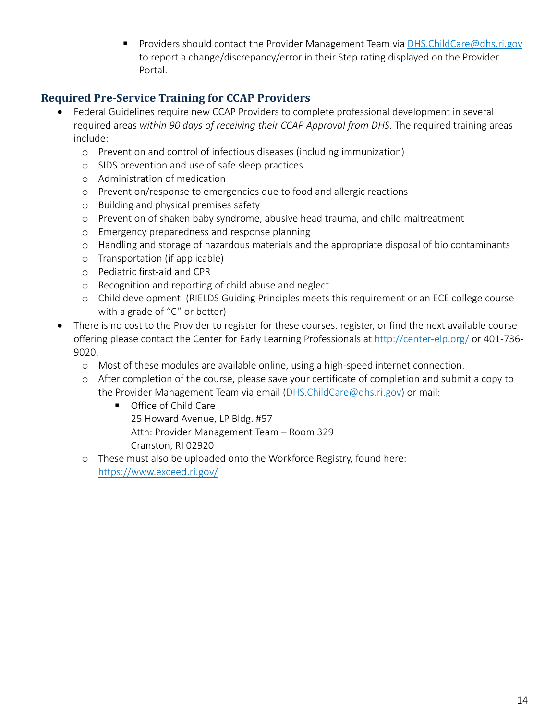**Providers should contact the Provider Management Team via [DHS.ChildCare@dhs.ri.gov](mailto:DHS.ChildCare@dhs.ri.gov)** to report a change/discrepancy/error in their Step rating displayed on the Provider Portal.

#### <span id="page-13-0"></span>**Required Pre-Service Training for CCAP Providers**

- Federal Guidelines require new CCAP Providers to complete professional development in several required areas *within 90 days of receiving their CCAP Approval from DHS*. The required training areas include:
	- o Prevention and control of infectious diseases (including immunization)
	- o SIDS prevention and use of safe sleep practices
	- o Administration of medication
	- o Prevention/response to emergencies due to food and allergic reactions
	- o Building and physical premises safety
	- o Prevention of shaken baby syndrome, abusive head trauma, and child maltreatment
	- o Emergency preparedness and response planning
	- o Handling and storage of hazardous materials and the appropriate disposal of bio contaminants
	- o Transportation (if applicable)
	- o Pediatric first-aid and CPR
	- o Recognition and reporting of child abuse and neglect
	- o Child development. (RIELDS Guiding Principles meets this requirement or an ECE college course with a grade of "C" or better)
- <span id="page-13-1"></span>• There is no cost to the Provider to register for these courses. register, or find the next available course offering please contact the Center for Early Learning Professionals at<http://center-elp.org/> or 401-736- 9020.
	- o Most of these modules are available online, using a high-speed internet connection.
	- o After completion of the course, please save your certificate of completion and submit a copy to the Provider Management Team via email [\(DHS.ChildCare@dhs.ri.gov\)](mailto:DHS.ChildCare@dhs.ri.gov) or mail:
		- **Office of Child Care** 25 Howard Avenue, LP Bldg. #57 Attn: Provider Management Team – Room 329 Cranston, RI 02920
	- o These must also be uploaded onto the Workforce Registry, found here: <https://www.exceed.ri.gov/>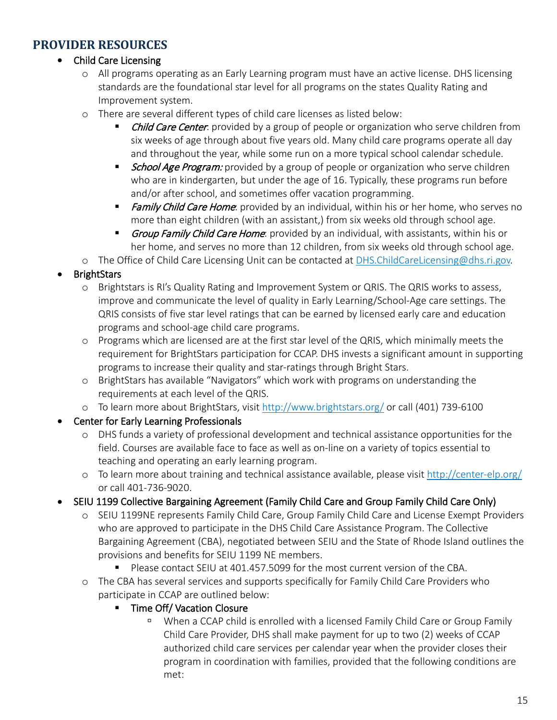#### **PROVIDER RESOURCES**

#### • Child Care Licensing

- o All programs operating as an Early Learning program must have an active license. DHS licensing standards are the foundational star level for all programs on the states Quality Rating and Improvement system.
- o There are several different types of child care licenses as listed below:
	- **Child Care Center**: provided by a group of people or organization who serve children from six weeks of age through about five years old. Many child care programs operate all day and throughout the year, while some run on a more typical school calendar schedule.
	- **School Age Program:** provided by a group of people or organization who serve children who are in kindergarten, but under the age of 16. Typically, these programs run before and/or after school, and sometimes offer vacation programming.
	- **Family Child Care Home**: provided by an individual, within his or her home, who serves no more than eight children (with an assistant,) from six weeks old through school age.
	- Group Family Child Care Home: provided by an individual, with assistants, within his or her home, and serves no more than 12 children, from six weeks old through school age.

o The Office of Child Care Licensing Unit can be contacted at [DHS.ChildCareLicensing@dhs.ri.gov.](mailto:DHS.ChildCareLicensing@dhs.ri.gov)

- **BrightStars** 
	- o Brightstars is RI's Quality Rating and Improvement System or QRIS. The QRIS works to assess, improve and communicate the level of quality in Early Learning/School-Age care settings. The QRIS consists of five star level ratings that can be earned by licensed early care and education programs and school-age child care programs.
	- o Programs which are licensed are at the first star level of the QRIS, which minimally meets the requirement for BrightStars participation for CCAP. DHS invests a significant amount in supporting programs to increase their quality and star-ratings through Bright Stars.
	- o BrightStars has available "Navigators" which work with programs on understanding the requirements at each level of the QRIS.
	- o To learn more about BrightStars, visit<http://www.brightstars.org/> or call (401) 739-6100

#### • Center for Early Learning Professionals

- o DHS funds a variety of professional development and technical assistance opportunities for the field. Courses are available face to face as well as on-line on a variety of topics essential to teaching and operating an early learning program.
- o To learn more about training and technical assistance available, please visit<http://center-elp.org/> or call 401-736-9020.

#### • SEIU 1199 Collective Bargaining Agreement (Family Child Care and Group Family Child Care Only)

- o SEIU 1199NE represents Family Child Care, Group Family Child Care and License Exempt Providers who are approved to participate in the DHS Child Care Assistance Program. The Collective Bargaining Agreement (CBA), negotiated between SEIU and the State of Rhode Island outlines the provisions and benefits for SEIU 1199 NE members.
	- Please contact SEIU at 401.457.5099 for the most current version of the CBA.
- o The CBA has several services and supports specifically for Family Child Care Providers who participate in CCAP are outlined below:

#### **Time Off/ Vacation Closure**

 When a CCAP child is enrolled with a licensed Family Child Care or Group Family Child Care Provider, DHS shall make payment for up to two (2) weeks of CCAP authorized child care services per calendar year when the provider closes their program in coordination with families, provided that the following conditions are met: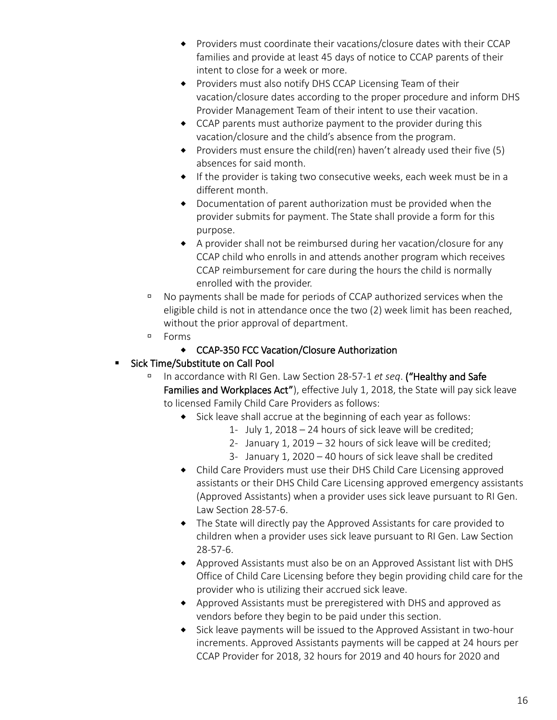- Providers must coordinate their vacations/closure dates with their CCAP families and provide at least 45 days of notice to CCAP parents of their intent to close for a week or more.
- ◆ Providers must also notify DHS CCAP Licensing Team of their vacation/closure dates according to the proper procedure and inform DHS Provider Management Team of their intent to use their vacation.
- CCAP parents must authorize payment to the provider during this vacation/closure and the child's absence from the program.
- $\bullet$  Providers must ensure the child(ren) haven't already used their five (5) absences for said month.
- $\bullet$  If the provider is taking two consecutive weeks, each week must be in a different month.
- Documentation of parent authorization must be provided when the provider submits for payment. The State shall provide a form for this purpose.
- A provider shall not be reimbursed during her vacation/closure for any CCAP child who enrolls in and attends another program which receives CCAP reimbursement for care during the hours the child is normally enrolled with the provider.
- No payments shall be made for periods of CCAP authorized services when the eligible child is not in attendance once the two (2) week limit has been reached, without the prior approval of department.
- Forms
	- CCAP-350 FCC Vacation/Closure Authorization

#### Sick Time/Substitute on Call Pool

- In accordance with RI Gen. Law Section 28-57-1 *et seq*. ("Healthy and Safe Families and Workplaces Act"), effective July 1, 2018, the State will pay sick leave to licensed Family Child Care Providers as follows:
	- $\bullet$  Sick leave shall accrue at the beginning of each year as follows:
		- 1- July 1, 2018 24 hours of sick leave will be credited;
		- 2- January 1, 2019 32 hours of sick leave will be credited;
		- 3- January 1, 2020 40 hours of sick leave shall be credited
	- Child Care Providers must use their DHS Child Care Licensing approved assistants or their DHS Child Care Licensing approved emergency assistants (Approved Assistants) when a provider uses sick leave pursuant to RI Gen. Law Section 28-57-6.
	- The State will directly pay the Approved Assistants for care provided to children when a provider uses sick leave pursuant to RI Gen. Law Section 28-57-6.
	- Approved Assistants must also be on an Approved Assistant list with DHS Office of Child Care Licensing before they begin providing child care for the provider who is utilizing their accrued sick leave.
	- Approved Assistants must be preregistered with DHS and approved as vendors before they begin to be paid under this section.
	- Sick leave payments will be issued to the Approved Assistant in two-hour increments. Approved Assistants payments will be capped at 24 hours per CCAP Provider for 2018, 32 hours for 2019 and 40 hours for 2020 and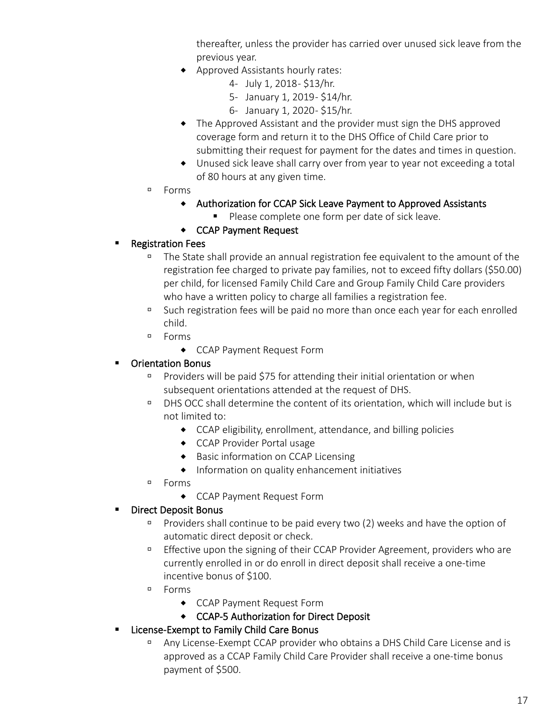thereafter, unless the provider has carried over unused sick leave from the previous year.

- Approved Assistants hourly rates:
	- 4- July 1, 2018 \$13/hr.
	- 5- January 1, 2019 \$14/hr.
	- 6- January 1, 2020 \$15/hr.
- The Approved Assistant and the provider must sign the DHS approved coverage form and return it to the DHS Office of Child Care prior to submitting their request for payment for the dates and times in question.
- Unused sick leave shall carry over from year to year not exceeding a total of 80 hours at any given time.
- Forms
	- Authorization for CCAP Sick Leave Payment to Approved Assistants
		- Please complete one form per date of sick leave.
	- CCAP Payment Request

#### Registration Fees

- The State shall provide an annual registration fee equivalent to the amount of the registration fee charged to private pay families, not to exceed fifty dollars (\$50.00) per child, for licensed Family Child Care and Group Family Child Care providers who have a written policy to charge all families a registration fee.
- <sup>D</sup> Such registration fees will be paid no more than once each year for each enrolled child.
- Forms
	- CCAP Payment Request Form

#### Orientation Bonus

- Providers will be paid \$75 for attending their initial orientation or when subsequent orientations attended at the request of DHS.
- DHS OCC shall determine the content of its orientation, which will include but is not limited to:
	- CCAP eligibility, enrollment, attendance, and billing policies
	- CCAP Provider Portal usage
	- ◆ Basic information on CCAP Licensing
	- Information on quality enhancement initiatives
- Forms
	- CCAP Payment Request Form

#### **Direct Deposit Bonus**

- Providers shall continue to be paid every two (2) weeks and have the option of automatic direct deposit or check.
- **Effective upon the signing of their CCAP Provider Agreement, providers who are** currently enrolled in or do enroll in direct deposit shall receive a one-time incentive bonus of \$100.
- Forms
	- CCAP Payment Request Form
	- CCAP-5 Authorization for Direct Deposit
- **E** License-Exempt to Family Child Care Bonus
	- Any License-Exempt CCAP provider who obtains a DHS Child Care License and is approved as a CCAP Family Child Care Provider shall receive a one-time bonus payment of \$500.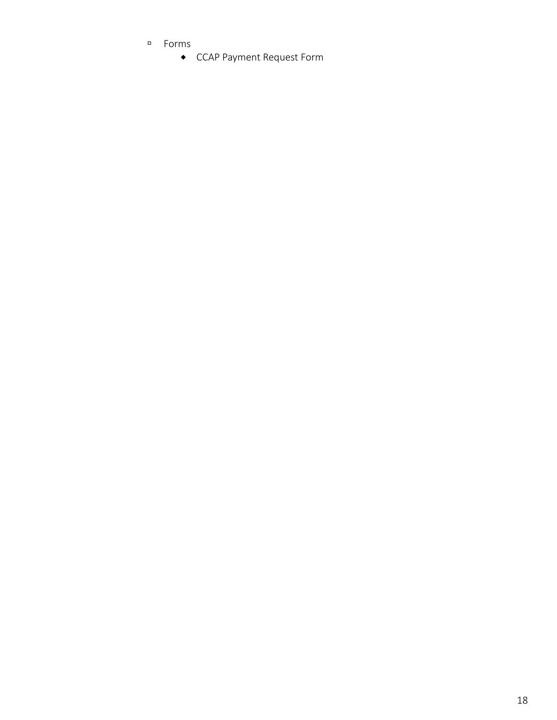- Forms
	- CCAP Payment Request Form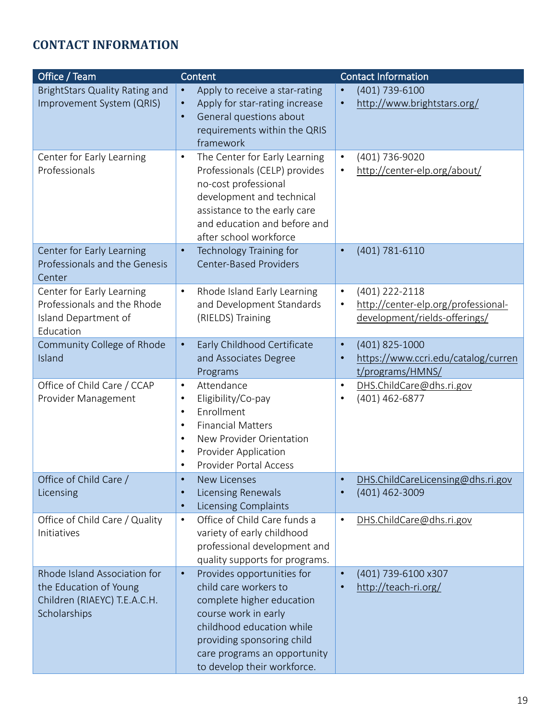### <span id="page-18-0"></span>**CONTACT INFORMATION**

| Office / Team                                                                                          | Content                                                                                                                                                                                                                                         | <b>Contact Information</b>                                                                                       |
|--------------------------------------------------------------------------------------------------------|-------------------------------------------------------------------------------------------------------------------------------------------------------------------------------------------------------------------------------------------------|------------------------------------------------------------------------------------------------------------------|
| <b>BrightStars Quality Rating and</b><br>Improvement System (QRIS)                                     | Apply to receive a star-rating<br>$\bullet$<br>Apply for star-rating increase<br>$\bullet$<br>General questions about<br>$\bullet$<br>requirements within the QRIS<br>framework                                                                 | (401) 739-6100<br>http://www.brightstars.org/<br>$\bullet$                                                       |
| Center for Early Learning<br>Professionals                                                             | The Center for Early Learning<br>$\bullet$<br>Professionals (CELP) provides<br>no-cost professional<br>development and technical<br>assistance to the early care<br>and education and before and<br>after school workforce                      | (401) 736-9020<br>$\bullet$<br>http://center-elp.org/about/                                                      |
| Center for Early Learning<br>Professionals and the Genesis<br>Center                                   | Technology Training for<br>$\bullet$<br><b>Center-Based Providers</b>                                                                                                                                                                           | (401) 781-6110                                                                                                   |
| Center for Early Learning<br>Professionals and the Rhode<br>Island Department of<br>Education          | Rhode Island Early Learning<br>$\bullet$<br>and Development Standards<br>(RIELDS) Training                                                                                                                                                      | (401) 222-2118<br>$\bullet$<br>http://center-elp.org/professional-<br>$\bullet$<br>development/rields-offerings/ |
| Community College of Rhode<br>Island                                                                   | Early Childhood Certificate<br>$\bullet$<br>and Associates Degree<br>Programs                                                                                                                                                                   | (401) 825-1000<br>$\bullet$<br>https://www.ccri.edu/catalog/curren<br>$\bullet$<br>t/programs/HMNS/              |
| Office of Child Care / CCAP<br>Provider Management                                                     | Attendance<br>$\bullet$<br>Eligibility/Co-pay<br>٠<br>Enrollment<br>$\bullet$<br><b>Financial Matters</b><br>٠<br>New Provider Orientation<br>٠<br>Provider Application<br>$\bullet$<br><b>Provider Portal Access</b>                           | DHS.ChildCare@dhs.ri.gov<br>$\bullet$<br>(401) 462-6877                                                          |
| Office of Child Care /<br>Licensing                                                                    | <b>New Licenses</b><br><b>Licensing Renewals</b><br>$\bullet$<br><b>Licensing Complaints</b><br>$\bullet$                                                                                                                                       | DHS.ChildCareLicensing@dhs.ri.gov<br>(401) 462-3009                                                              |
| Office of Child Care / Quality<br>Initiatives                                                          | Office of Child Care funds a<br>$\bullet$<br>variety of early childhood<br>professional development and<br>quality supports for programs.                                                                                                       | DHS.ChildCare@dhs.ri.gov<br>$\bullet$                                                                            |
| Rhode Island Association for<br>the Education of Young<br>Children (RIAEYC) T.E.A.C.H.<br>Scholarships | Provides opportunities for<br>$\bullet$<br>child care workers to<br>complete higher education<br>course work in early<br>childhood education while<br>providing sponsoring child<br>care programs an opportunity<br>to develop their workforce. | (401) 739-6100 x307<br>$\bullet$<br>http://teach-ri.org/                                                         |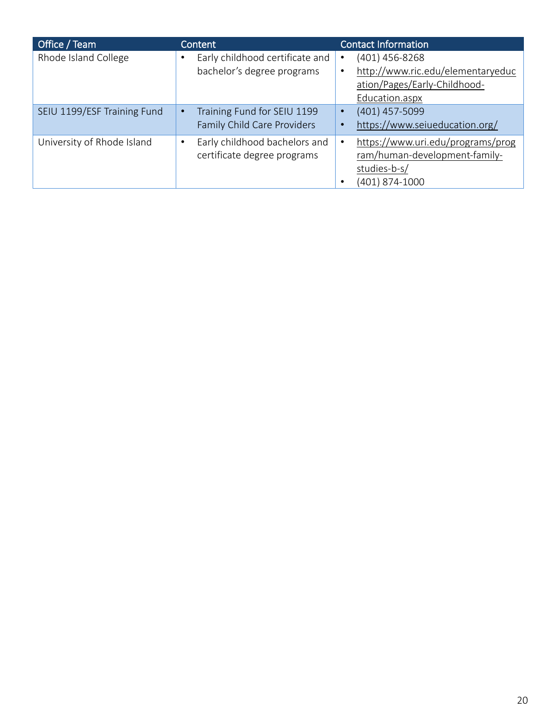| Office / Team               | Content                                                       | <b>Contact Information</b>                                                                                         |
|-----------------------------|---------------------------------------------------------------|--------------------------------------------------------------------------------------------------------------------|
| Rhode Island College        | Early childhood certificate and<br>bachelor's degree programs | (401) 456-8268<br>$\bullet$<br>http://www.ric.edu/elementaryeduc<br>ation/Pages/Early-Childhood-<br>Education.aspx |
| SEIU 1199/ESF Training Fund | Training Fund for SEIU 1199<br>Family Child Care Providers    | (401) 457-5099<br>$\bullet$<br>https://www.seiueducation.org/                                                      |
| University of Rhode Island  | Early childhood bachelors and<br>certificate degree programs  | https://www.uri.edu/programs/prog<br>ram/human-development-family-<br>studies-b-s/<br>(401) 874-1000               |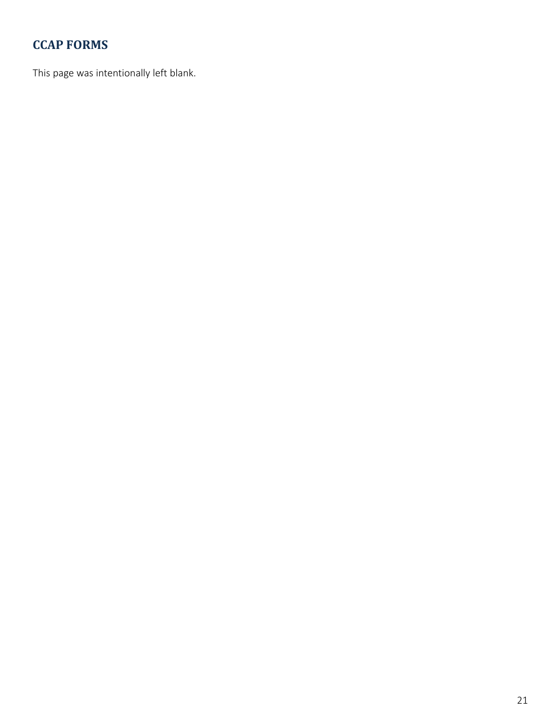### <span id="page-20-0"></span>**CCAP FORMS**

This page was intentionally left blank.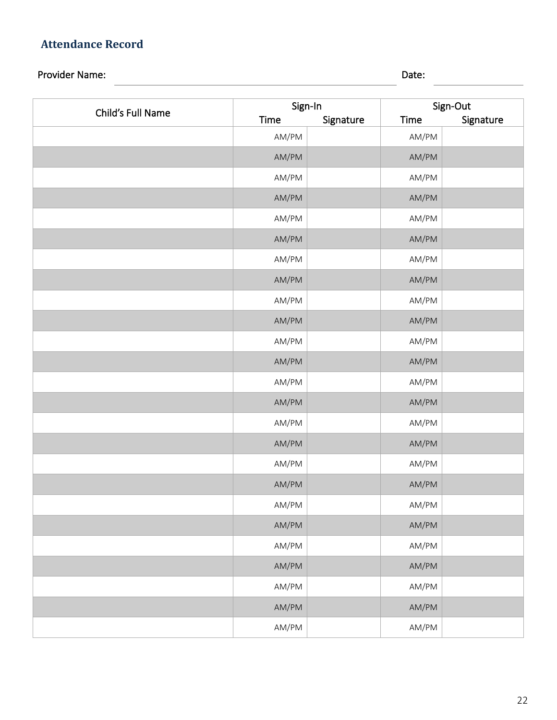### <span id="page-21-0"></span>**Attendance Record**

### Provider Name: 2008. [2016] Date: 2016. [2016] Date: 2016. [2016] Date: 2016. [2016] Date: 2016. [2016] Date: 2016. [2016] Date: 2016. [2016] Date: 2016. [2016] Date: 2016. [2016] Date: 2016. [2016] Date: 2016. [2016] Date

| Child's Full Name | Sign-In |           | Sign-Out                  |           |
|-------------------|---------|-----------|---------------------------|-----------|
|                   | Time    | Signature | Time                      | Signature |
|                   | AM/PM   |           | AM/PM                     |           |
|                   | AM/PM   |           | AM/PM                     |           |
|                   | AM/PM   |           | AM/PM                     |           |
|                   | AM/PM   |           | AM/PM                     |           |
|                   | AM/PM   |           | AM/PM                     |           |
|                   | AM/PM   |           | AM/PM                     |           |
|                   | AM/PM   |           | AM/PM                     |           |
|                   | AM/PM   |           | AM/PM                     |           |
|                   | AM/PM   |           | AM/PM                     |           |
|                   | AM/PM   |           | AM/PM                     |           |
|                   | AM/PM   |           | AM/PM                     |           |
|                   | AM/PM   |           | AM/PM                     |           |
|                   | AM/PM   |           | AM/PM                     |           |
|                   | AM/PM   |           | AM/PM                     |           |
|                   | AM/PM   |           | AM/PM                     |           |
|                   | AM/PM   |           | AM/PM                     |           |
|                   | AM/PM   |           | AM/PM                     |           |
|                   | AM/PM   |           | AM/PM                     |           |
|                   | AM/PM   |           | $\mathsf{AM}/\mathsf{PM}$ |           |
|                   | AM/PM   |           | $\mathsf{AM}/\mathsf{PM}$ |           |
|                   | AM/PM   |           | AM/PM                     |           |
|                   | AM/PM   |           | AM/PM                     |           |
|                   | AM/PM   |           | AM/PM                     |           |
|                   | AM/PM   |           | AM/PM                     |           |
|                   | AM/PM   |           | AM/PM                     |           |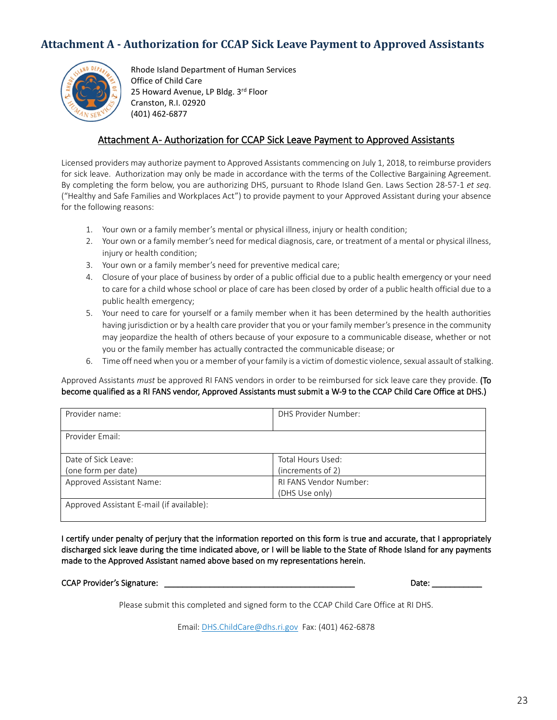#### <span id="page-22-0"></span>**Attachment A - Authorization for CCAP Sick Leave Payment to Approved Assistants**



Rhode Island Department of Human Services Office of Child Care 25 Howard Avenue, LP Bldg. 3rd Floor Cranston, R.I. 02920 (401) 462-6877

#### Attachment A- Authorization for CCAP Sick Leave Payment to Approved Assistants

Licensed providers may authorize payment to Approved Assistants commencing on July 1, 2018, to reimburse providers for sick leave. Authorization may only be made in accordance with the terms of the Collective Bargaining Agreement. By completing the form below, you are authorizing DHS, pursuant to Rhode Island Gen. Laws Section 28-57-1 *et seq*. ("Healthy and Safe Families and Workplaces Act") to provide payment to your Approved Assistant during your absence for the following reasons:

- 1. Your own or a family member's mental or physical illness, injury or health condition;
- 2. Your own or a family member's need for medical diagnosis, care, or treatment of a mental or physical illness, injury or health condition;
- 3. Your own or a family member's need for preventive medical care;
- 4. Closure of your place of business by order of a public official due to a public health emergency or your need to care for a child whose school or place of care has been closed by order of a public health official due to a public health emergency;
- 5. Your need to care for yourself or a family member when it has been determined by the health authorities having jurisdiction or by a health care provider that you or your family member's presence in the community may jeopardize the health of others because of your exposure to a communicable disease, whether or not you or the family member has actually contracted the communicable disease; or
- 6. Time off need when you or a member of your family is a victim of domestic violence, sexual assault of stalking.

Approved Assistants *must* be approved RI FANS vendors in order to be reimbursed for sick leave care they provide. (To become qualified as a RI FANS vendor, Approved Assistants must submit a W-9 to the CCAP Child Care Office at DHS.)

| Provider name:                            | DHS Provider Number:          |
|-------------------------------------------|-------------------------------|
| Provider Email:                           |                               |
| Date of Sick Leave:                       | Total Hours Used:             |
| (one form per date)                       | (increments of 2)             |
| Approved Assistant Name:                  | <b>RI FANS Vendor Number:</b> |
|                                           | (DHS Use only)                |
| Approved Assistant E-mail (if available): |                               |

I certify under penalty of perjury that the information reported on this form is true and accurate, that I appropriately discharged sick leave during the time indicated above, or I will be liable to the State of Rhode Island for any payments made to the Approved Assistant named above based on my representations herein.

CCAP Provider's Signature: \_\_\_\_\_\_\_\_\_\_\_\_\_\_\_\_\_\_\_\_\_\_\_\_\_\_\_\_\_\_\_\_\_\_\_\_\_\_\_\_\_\_ Date: \_\_\_\_\_\_\_\_\_\_\_

Please submit this completed and signed form to the CCAP Child Care Office at RI DHS.

Email: [DHS.ChildCare@dhs.ri.gov](mailto:DHS.ChildCare@dhs.ri.gov) Fax: (401) 462-6878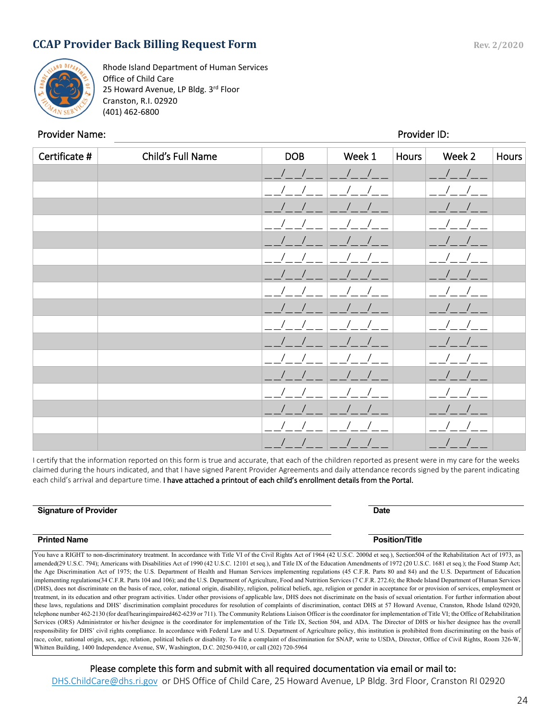#### <span id="page-23-0"></span>**CCAP Provider Back Billing Request Form Rev. 2/2020**



Rhode Island Department of Human Services Office of Child Care 25 Howard Avenue, LP Bldg. 3rd Floor Cranston, R.I. 02920 (401) 462-6800

#### Provider Name: Provider ID:

֚֬֝֬֝֬֝֬֝֬֝֬֝֬֝֬

| Certificate # | Child's Full Name | <b>DOB</b>               | Week 1 | Hours | Week 2     | <b>Hours</b> |
|---------------|-------------------|--------------------------|--------|-------|------------|--------------|
|               |                   | $\overline{\phantom{a}}$ |        |       | $\sqrt{2}$ |              |
|               |                   |                          |        |       |            |              |
|               |                   |                          |        |       |            |              |
|               |                   |                          |        |       |            |              |
|               |                   |                          |        |       |            |              |
|               |                   |                          |        |       |            |              |
|               |                   |                          |        |       |            |              |
|               |                   |                          |        |       |            |              |
|               |                   |                          |        |       |            |              |
|               |                   |                          |        |       |            |              |
|               |                   |                          |        |       |            |              |
|               |                   |                          |        |       |            |              |
|               |                   |                          |        |       |            |              |
|               |                   |                          |        |       |            |              |
|               |                   |                          |        |       |            |              |
|               |                   |                          |        |       |            |              |
|               |                   | P                        |        |       |            |              |

I certify that the information reported on this form is true and accurate, that each of the children reported as present were in my care for the weeks claimed during the hours indicated, and that I have signed Parent Provider Agreements and daily attendance records signed by the parent indicating each child's arrival and departure time. I have attached a printout of each child's enrollment details from the Portal.

| <b>Signature of Provider</b> | <b>Date</b>           |
|------------------------------|-----------------------|
|                              |                       |
| <b>Printed Name</b>          | <b>Position/Title</b> |

You have a RIGHT to non-discriminatory treatment. In accordance with Title VI of the Civil Rights Act of 1964 (42 U.S.C. 2000d et seq.), Section504 of the Rehabilitation Act of 1973, as amended(29 U.S.C. 794); Americans with Disabilities Act of 1990 (42 U.S.C. 12101 et seq.), and Title IX of the Education Amendments of 1972 (20 U.S.C. 1681 et seq.); the Food Stamp Act; the Age Discrimination Act of 1975; the U.S. Department of Health and Human Services implementing regulations (45 C.F.R. Parts 80 and 84) and the U.S. Department of Education implementing regulations(34 C.F.R. Parts 104 and 106); and the U.S. Department of Agriculture, Food and Nutrition Services (7 C.F.R. 272.6); the Rhode Island Department of Human Services (DHS), does not discriminate on the basis of race, color, national origin, disability, religion, political beliefs, age, religion or gender in acceptance for or provision of services, employment or treatment, in its education and other program activities. Under other provisions of applicable law, DHS does not discriminate on the basis of sexual orientation. For further information about these laws, regulations and DHS' discrimination complaint procedures for resolution of complaints of discrimination, contact DHS at 57 Howard Avenue, Cranston, Rhode Island 02920, telephone number 462-2130 (for deaf/hearingimpaired462-6239 or 711). The Community Relations Liaison Officer is the coordinator for implementation of Title VI; the Office of Rehabilitation Services (ORS) Administrator or his/her designee is the coordinator for implementation of the Title IX, Section 504, and ADA. The Director of DHS or his/her designee has the overall responsibility for DHS' civil rights compliance. In accordance with Federal Law and U.S. Department of Agriculture policy, this institution is prohibited from discriminating on the basis of race, color, national origin, sex, age, relation, political beliefs or disability. To file a complaint of discrimination for SNAP, write to USDA, Director, Office of Civil Rights, Room 326-W, Whitten Building, 1400 Independence Avenue, SW, Washington, D.C. 20250-9410, or call (202) 720-5964

#### Please complete this form and submit with all required documentation via email or mail to:

[DHS.ChildCare@dhs.ri.gov](mailto:DHS.ChildCare@dhs.ri.gov) or DHS Office of Child Care, 25 Howard Avenue, LP Bldg. 3rd Floor, Cranston RI 02920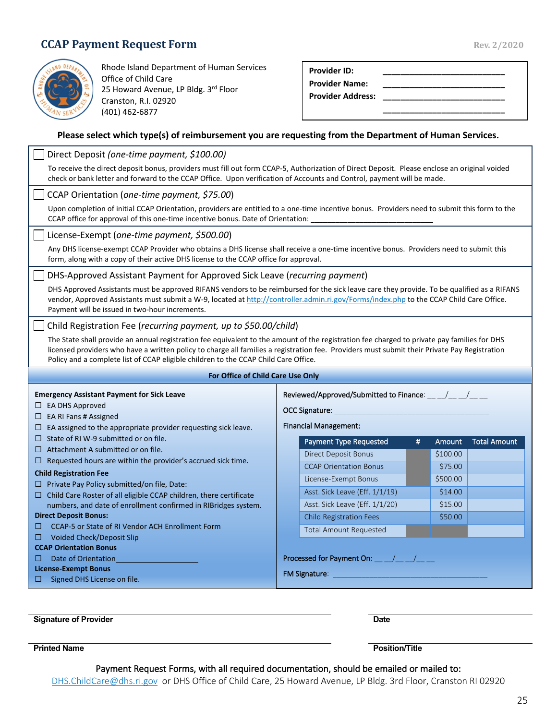#### <span id="page-24-0"></span>**CCAP Payment Request Form** Rev. 2/2020



Rhode Island Department of Human Services Office of Child Care 25 Howard Avenue, LP Bldg. 3rd Floor Cranston, R.I. 02920 (401) 462-6877

| <b>Provider ID:</b>      |  |
|--------------------------|--|
| Provider Name:           |  |
| <b>Provider Address:</b> |  |
|                          |  |

#### **Please select which type(s) of reimbursement you are requesting from the Department of Human Services.**

<span id="page-24-1"></span>

| Direct Deposit (one-time payment, \$100.00)<br>To receive the direct deposit bonus, providers must fill out form CCAP-5, Authorization of Direct Deposit. Please enclose an original voided<br>check or bank letter and forward to the CCAP Office. Upon verification of Accounts and Control, payment will be made.                                                                                                                                                                           |                                                                                                                                                                                                                                                                                                                                             |  |  |
|------------------------------------------------------------------------------------------------------------------------------------------------------------------------------------------------------------------------------------------------------------------------------------------------------------------------------------------------------------------------------------------------------------------------------------------------------------------------------------------------|---------------------------------------------------------------------------------------------------------------------------------------------------------------------------------------------------------------------------------------------------------------------------------------------------------------------------------------------|--|--|
| CCAP Orientation (one-time payment, \$75.00)<br>Upon completion of initial CCAP Orientation, providers are entitled to a one-time incentive bonus. Providers need to submit this form to the<br>CCAP office for approval of this one-time incentive bonus. Date of Orientation:                                                                                                                                                                                                                |                                                                                                                                                                                                                                                                                                                                             |  |  |
| License-Exempt (one-time payment, \$500.00)<br>Any DHS license-exempt CCAP Provider who obtains a DHS license shall receive a one-time incentive bonus. Providers need to submit this<br>form, along with a copy of their active DHS license to the CCAP office for approval.                                                                                                                                                                                                                  |                                                                                                                                                                                                                                                                                                                                             |  |  |
| DHS-Approved Assistant Payment for Approved Sick Leave (recurring payment)<br>DHS Approved Assistants must be approved RIFANS vendors to be reimbursed for the sick leave care they provide. To be qualified as a RIFANS<br>vendor, Approved Assistants must submit a W-9, located at http://controller.admin.ri.gov/Forms/index.php to the CCAP Child Care Office.<br>Payment will be issued in two-hour increments.                                                                          |                                                                                                                                                                                                                                                                                                                                             |  |  |
| Child Registration Fee (recurring payment, up to \$50.00/child)<br>The State shall provide an annual registration fee equivalent to the amount of the registration fee charged to private pay families for DHS<br>licensed providers who have a written policy to charge all families a registration fee. Providers must submit their Private Pay Registration<br>Policy and a complete list of CCAP eligible children to the CCAP Child Care Office.                                          |                                                                                                                                                                                                                                                                                                                                             |  |  |
| For Office of Child Care Use Only                                                                                                                                                                                                                                                                                                                                                                                                                                                              |                                                                                                                                                                                                                                                                                                                                             |  |  |
| <b>Emergency Assistant Payment for Sick Leave</b><br>$\Box$ EA DHS Approved<br>$\Box$ EA RI Fans # Assigned<br>$\Box$ EA assigned to the appropriate provider requesting sick leave.                                                                                                                                                                                                                                                                                                           | Reviewed/Approved/Submitted to Finance: __ _/__ _/__ __<br>OCC Signature: The Contract of the Contract of the Contract of the Contract of the Contract of the Contract of<br><b>Financial Management:</b>                                                                                                                                   |  |  |
| $\Box$ State of RI W-9 submitted or on file.<br>$\Box$ Attachment A submitted or on file.                                                                                                                                                                                                                                                                                                                                                                                                      | <b>Total Amount</b><br><b>Payment Type Requested</b><br>#<br>Amount                                                                                                                                                                                                                                                                         |  |  |
| $\Box$ Requested hours are within the provider's accrued sick time.<br><b>Child Registration Fee</b><br>$\Box$ Private Pay Policy submitted/on file, Date:<br>$\Box$ Child Care Roster of all eligible CCAP children, there certificate<br>numbers, and date of enrollment confirmed in RIBridges system.<br><b>Direct Deposit Bonus:</b><br>CCAP-5 or State of RI Vendor ACH Enrollment Form<br>□<br>$\Box$ Voided Check/Deposit Slip<br><b>CCAP Orientation Bonus</b><br>Date of Orientation | <b>Direct Deposit Bonus</b><br>\$100.00<br><b>CCAP Orientation Bonus</b><br>\$75.00<br>\$500.00<br>License-Exempt Bonus<br>Asst. Sick Leave (Eff. 1/1/19)<br>\$14.00<br>Asst. Sick Leave (Eff. 1/1/20)<br>\$15.00<br><b>Child Registration Fees</b><br>\$50.00<br><b>Total Amount Requested</b><br>Processed for Payment On: __ _/__ _/__ _ |  |  |

**Signature of Provider Date** 

**Printed Name Printed Name Position/Title** 

#### Payment Request Forms, with all required documentation, should be emailed or mailed to:

[DHS.ChildCare@dhs.ri.gov](mailto:DHS.ChildCare@dhs.ri.gov) or DHS Office of Child Care, 25 Howard Avenue, LP Bldg. 3rd Floor, Cranston RI 02920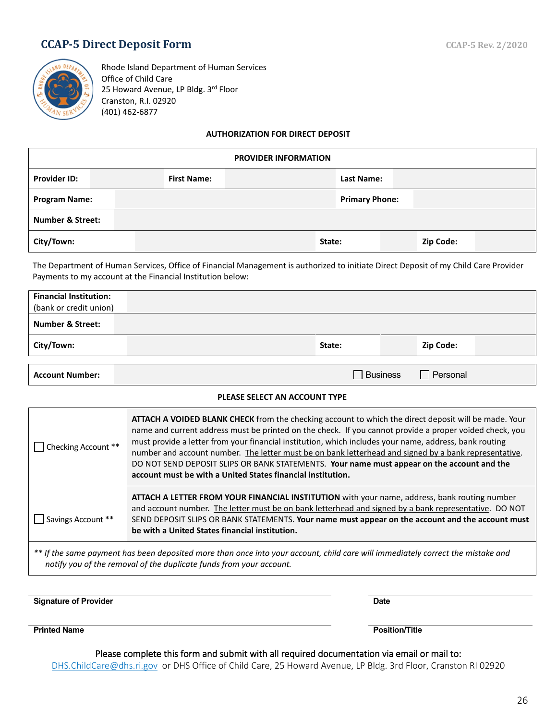#### **CCAP-5 Direct Deposit Form** CCAP-5 Rev. 2/2020



Rhode Island Department of Human Services Office of Child Care 25 Howard Avenue, LP Bldg. 3rd Floor Cranston, R.I. 02920 (401) 462-6877

#### **AUTHORIZATION FOR DIRECT DEPOSIT**

| <b>Provider ID:</b>  | <b>First Name:</b><br>Last Name: |  |  |        |                       |  |           |  |
|----------------------|----------------------------------|--|--|--------|-----------------------|--|-----------|--|
| <b>Program Name:</b> |                                  |  |  |        | <b>Primary Phone:</b> |  |           |  |
|                      | <b>Number &amp; Street:</b>      |  |  |        |                       |  |           |  |
| City/Town:           |                                  |  |  | State: |                       |  | Zip Code: |  |

The Department of Human Services, Office of Financial Management is authorized to initiate Direct Deposit of my Child Care Provider Payments to my account at the Financial Institution below:

| <b>Financial Institution:</b> |        |           |  |
|-------------------------------|--------|-----------|--|
| (bank or credit union)        |        |           |  |
| <b>Number &amp; Street:</b>   |        |           |  |
| City/Town:                    | State: | Zip Code: |  |
|                               |        |           |  |
|                               |        |           |  |

**Account Number: Business** Personal **Account Number: Business** Personal **Personal** 

#### **PLEASE SELECT AN ACCOUNT TYPE**

| Checking Account **<br>$\mathbf{I}$                                                                                                                                                                    | ATTACH A VOIDED BLANK CHECK from the checking account to which the direct deposit will be made. Your<br>name and current address must be printed on the check. If you cannot provide a proper voided check, you<br>must provide a letter from your financial institution, which includes your name, address, bank routing<br>number and account number. The letter must be on bank letterhead and signed by a bank representative.<br>DO NOT SEND DEPOSIT SLIPS OR BANK STATEMENTS. Your name must appear on the account and the<br>account must be with a United States financial institution. |  |  |  |
|--------------------------------------------------------------------------------------------------------------------------------------------------------------------------------------------------------|-------------------------------------------------------------------------------------------------------------------------------------------------------------------------------------------------------------------------------------------------------------------------------------------------------------------------------------------------------------------------------------------------------------------------------------------------------------------------------------------------------------------------------------------------------------------------------------------------|--|--|--|
| Savings Account **                                                                                                                                                                                     | ATTACH A LETTER FROM YOUR FINANCIAL INSTITUTION with your name, address, bank routing number<br>and account number. The letter must be on bank letterhead and signed by a bank representative. DO NOT<br>SEND DEPOSIT SLIPS OR BANK STATEMENTS. Your name must appear on the account and the account must<br>be with a United States financial institution.                                                                                                                                                                                                                                     |  |  |  |
| ** If the same payment has been deposited more than once into your account, child care will immediately correct the mistake and<br>notify you of the removal of the duplicate funds from your account. |                                                                                                                                                                                                                                                                                                                                                                                                                                                                                                                                                                                                 |  |  |  |

**Signature of Provider Date** 

**Printed Name Position/Title**

Please complete this form and submit with all required documentation via email or mail to:

[DHS.ChildCare@dhs.ri.gov](mailto:DHS.ChildCare@dhs.ri.gov) or DHS Office of Child Care, 25 Howard Avenue, LP Bldg. 3rd Floor, Cranston RI 02920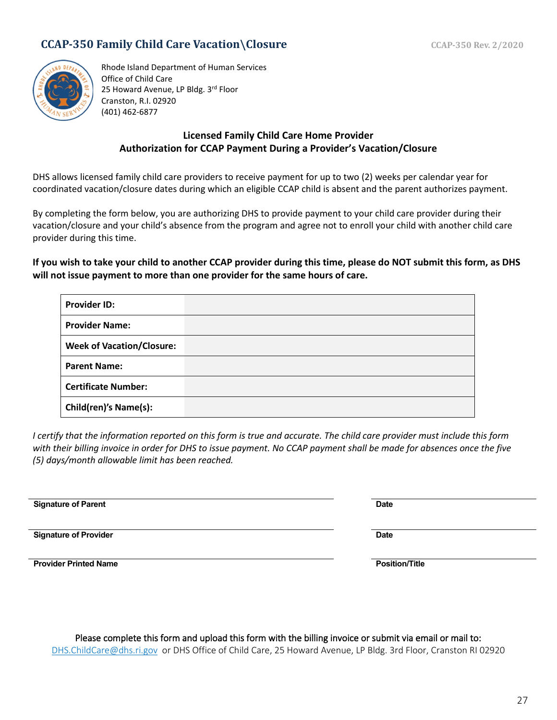#### <span id="page-26-0"></span>**CCAP-350 Family Child Care Vacation\Closure** CCAP-350 Rev. 2/2020



Rhode Island Department of Human Services Office of Child Care 25 Howard Avenue, LP Bldg. 3rd Floor Cranston, R.I. 02920 (401) 462-6877

#### **Licensed Family Child Care Home Provider Authorization for CCAP Payment During a Provider's Vacation/Closure**

DHS allows licensed family child care providers to receive payment for up to two (2) weeks per calendar year for coordinated vacation/closure dates during which an eligible CCAP child is absent and the parent authorizes payment.

By completing the form below, you are authorizing DHS to provide payment to your child care provider during their vacation/closure and your child's absence from the program and agree not to enroll your child with another child care provider during this time.

**If you wish to take your child to another CCAP provider during this time, please do NOT submit this form, as DHS will not issue payment to more than one provider for the same hours of care.**

| <b>Provider ID:</b>              |  |
|----------------------------------|--|
| <b>Provider Name:</b>            |  |
| <b>Week of Vacation/Closure:</b> |  |
| <b>Parent Name:</b>              |  |
| <b>Certificate Number:</b>       |  |
| <b>Child(ren)'s Name(s):</b>     |  |

*I certify that the information reported on this form is true and accurate. The child care provider must include this form with their billing invoice in order for DHS to issue payment. No CCAP payment shall be made for absences once the five (5) days/month allowable limit has been reached.*

**Signature of Parent Date** 

**Signature of Provider Date** 

**Provider Printed Name Position/Title**

|                                                                                                               | Please complete this form and upload this form with the billing invoice or submit via email or mail to: |  |  |
|---------------------------------------------------------------------------------------------------------------|---------------------------------------------------------------------------------------------------------|--|--|
| DHS.ChildCare@dhs.ri.gov or DHS Office of Child Care, 25 Howard Avenue, LP Bldg. 3rd Floor, Cranston RI 02920 |                                                                                                         |  |  |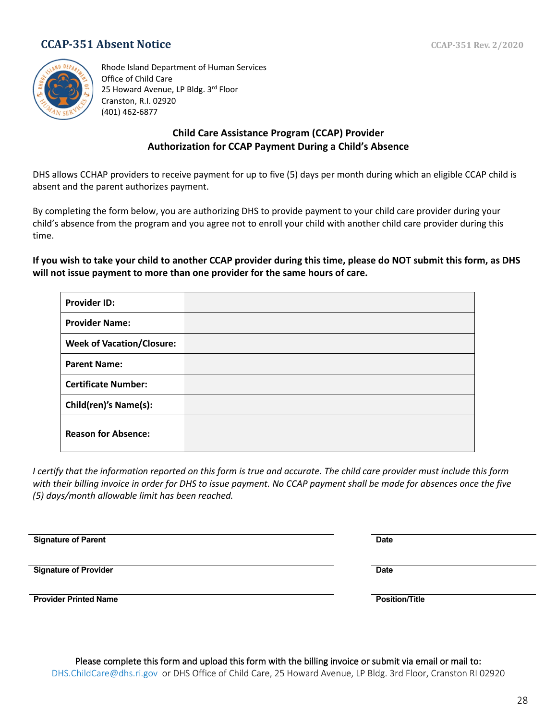#### <span id="page-27-0"></span>**CCAP-351 Absent Notice** CCAP-351 Rev. 2/2020



Rhode Island Department of Human Services Office of Child Care 25 Howard Avenue, LP Bldg. 3rd Floor Cranston, R.I. 02920 (401) 462-6877

#### **Child Care Assistance Program (CCAP) Provider Authorization for CCAP Payment During a Child's Absence**

DHS allows CCHAP providers to receive payment for up to five (5) days per month during which an eligible CCAP child is absent and the parent authorizes payment.

By completing the form below, you are authorizing DHS to provide payment to your child care provider during your child's absence from the program and you agree not to enroll your child with another child care provider during this time.

**If you wish to take your child to another CCAP provider during this time, please do NOT submit this form, as DHS will not issue payment to more than one provider for the same hours of care.**

| <b>Provider ID:</b>              |  |
|----------------------------------|--|
| <b>Provider Name:</b>            |  |
| <b>Week of Vacation/Closure:</b> |  |
| <b>Parent Name:</b>              |  |
| <b>Certificate Number:</b>       |  |
| <b>Child(ren)'s Name(s):</b>     |  |
| <b>Reason for Absence:</b>       |  |

*I certify that the information reported on this form is true and accurate. The child care provider must include this form with their billing invoice in order for DHS to issue payment. No CCAP payment shall be made for absences once the five (5) days/month allowable limit has been reached.*

**Signature of Parent Date Signature of Provider Date Provider Printed Name Position/Title**

Please complete this form and upload this form with the billing invoice or submit via email or mail to: [DHS.ChildCare@dhs.ri.gov](mailto:DHS.ChildCare@dhs.ri.gov) or DHS Office of Child Care, 25 Howard Avenue, LP Bldg. 3rd Floor, Cranston RI 02920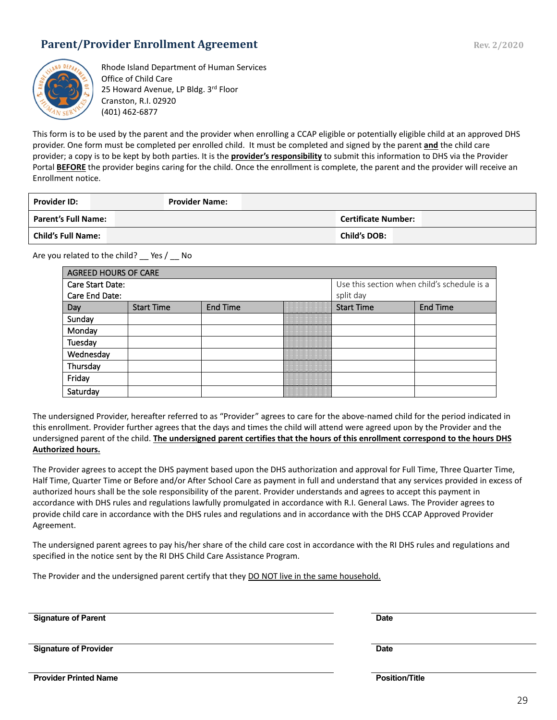#### <span id="page-28-0"></span>**Parent/Provider Enrollment Agreement Rev. 2/2020** Rev. 2/2020



Rhode Island Department of Human Services Office of Child Care 25 Howard Avenue, LP Bldg. 3rd Floor Cranston, R.I. 02920 (401) 462-6877

This form is to be used by the parent and the provider when enrolling a CCAP eligible or potentially eligible child at an approved DHS provider. One form must be completed per enrolled child. It must be completed and signed by the parent **and** the child care provider; a copy is to be kept by both parties. It is the **provider's responsibility** to submit this information to DHS via the Provider Portal **BEFORE** the provider begins caring for the child. Once the enrollment is complete, the parent and the provider will receive an Enrollment notice.

| <b>Provider ID:</b>        | <b>Provider Name:</b> |                            |
|----------------------------|-----------------------|----------------------------|
| <b>Parent's Full Name:</b> |                       | <b>Certificate Number:</b> |
| <b>Child's Full Name:</b>  |                       | <b>Child's DOB:</b>        |

Are you related to the child? \_\_ Yes / \_\_ No

| <b>AGREED HOURS OF CARE</b> |                   |                 |  |                                             |          |  |
|-----------------------------|-------------------|-----------------|--|---------------------------------------------|----------|--|
| Care Start Date:            |                   |                 |  | Use this section when child's schedule is a |          |  |
| Care End Date:              |                   |                 |  | split day                                   |          |  |
| Day                         | <b>Start Time</b> | <b>End Time</b> |  | <b>Start Time</b>                           | End Time |  |
| Sunday                      |                   |                 |  |                                             |          |  |
| Monday                      |                   |                 |  |                                             |          |  |
| Tuesday                     |                   |                 |  |                                             |          |  |
| Wednesday                   |                   |                 |  |                                             |          |  |
| Thursday                    |                   |                 |  |                                             |          |  |
| Friday                      |                   |                 |  |                                             |          |  |
| Saturday                    |                   |                 |  |                                             |          |  |

The undersigned Provider, hereafter referred to as "Provider" agrees to care for the above-named child for the period indicated in this enrollment. Provider further agrees that the days and times the child will attend were agreed upon by the Provider and the undersigned parent of the child. **The undersigned parent certifies that the hours of this enrollment correspond to the hours DHS Authorized hours.**

The Provider agrees to accept the DHS payment based upon the DHS authorization and approval for Full Time, Three Quarter Time, Half Time, Quarter Time or Before and/or After School Care as payment in full and understand that any services provided in excess of authorized hours shall be the sole responsibility of the parent. Provider understands and agrees to accept this payment in accordance with DHS rules and regulations lawfully promulgated in accordance with R.I. General Laws. The Provider agrees to provide child care in accordance with the DHS rules and regulations and in accordance with the DHS CCAP Approved Provider Agreement.

The undersigned parent agrees to pay his/her share of the child care cost in accordance with the RI DHS rules and regulations and specified in the notice sent by the RI DHS Child Care Assistance Program.

The Provider and the undersigned parent certify that they DO NOT live in the same household.

**Signature of Parent Date**

**Signature of Provider Date** 

**Provider Printed Name Position/Title**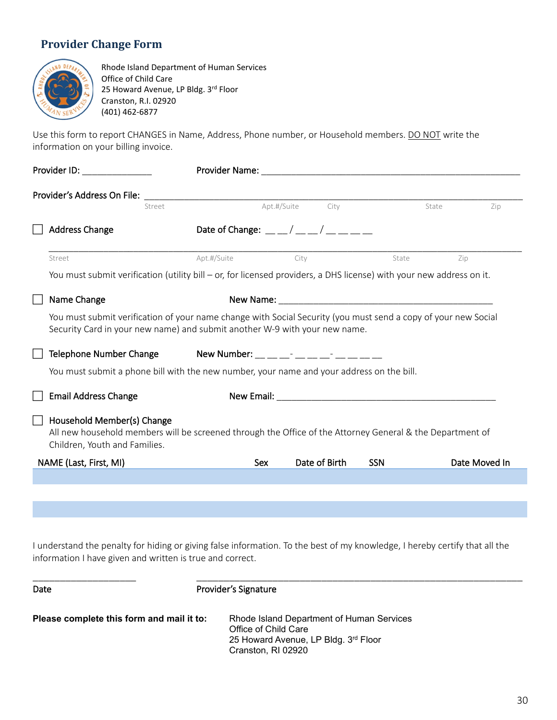#### <span id="page-29-0"></span>**Provider Change Form**



Rhode Island Department of Human Services Office of Child Care 25 Howard Avenue, LP Bldg. 3rd Floor Cranston, R.I. 02920 (401) 462-6877

Use this form to report CHANGES in Name, Address, Phone number, or Household members. DO NOT write the information on your billing invoice.

| Provider's Address On File:                                                                                                                                                                  |                                                                                                                                                                                                                                                                                                 |                     |            |               |
|----------------------------------------------------------------------------------------------------------------------------------------------------------------------------------------------|-------------------------------------------------------------------------------------------------------------------------------------------------------------------------------------------------------------------------------------------------------------------------------------------------|---------------------|------------|---------------|
| Street                                                                                                                                                                                       |                                                                                                                                                                                                                                                                                                 | Apt.#/Suite<br>City |            | State<br>Zip  |
| <b>Address Change</b>                                                                                                                                                                        | Date of Change: $\frac{1}{2}$ / $\frac{1}{2}$ / $\frac{1}{2}$ / $\frac{1}{2}$ / $\frac{1}{2}$ / $\frac{1}{2}$ / $\frac{1}{2}$ / $\frac{1}{2}$ / $\frac{1}{2}$ / $\frac{1}{2}$ / $\frac{1}{2}$ / $\frac{1}{2}$ / $\frac{1}{2}$ / $\frac{1}{2}$ / $\frac{1}{2}$ / $\frac{1}{2}$ / $\frac{1}{2}$ / |                     |            |               |
| Street                                                                                                                                                                                       | Apt.#/Suite                                                                                                                                                                                                                                                                                     | City                | State      | Zip           |
| You must submit verification (utility bill – or, for licensed providers, a DHS license) with your new address on it.                                                                         |                                                                                                                                                                                                                                                                                                 |                     |            |               |
| Name Change                                                                                                                                                                                  |                                                                                                                                                                                                                                                                                                 |                     |            |               |
| You must submit verification of your name change with Social Security (you must send a copy of your new Social<br>Security Card in your new name) and submit another W-9 with your new name. |                                                                                                                                                                                                                                                                                                 |                     |            |               |
| Telephone Number Change                                                                                                                                                                      | New Number: __ __ __- __ __ __ __ __ __ __                                                                                                                                                                                                                                                      |                     |            |               |
| You must submit a phone bill with the new number, your name and your address on the bill.                                                                                                    |                                                                                                                                                                                                                                                                                                 |                     |            |               |
| <b>Email Address Change</b>                                                                                                                                                                  |                                                                                                                                                                                                                                                                                                 |                     |            |               |
| Household Member(s) Change<br>All new household members will be screened through the Office of the Attorney General & the Department of<br>Children, Youth and Families.                     |                                                                                                                                                                                                                                                                                                 |                     |            |               |
| NAME (Last, First, MI)                                                                                                                                                                       | Sex                                                                                                                                                                                                                                                                                             | Date of Birth       | <b>SSN</b> | Date Moved In |
|                                                                                                                                                                                              |                                                                                                                                                                                                                                                                                                 |                     |            |               |
|                                                                                                                                                                                              |                                                                                                                                                                                                                                                                                                 |                     |            |               |

I understand the penalty for hiding or giving false information. To the best of my knowledge, I hereby certify that all the information I have given and written is true and correct.

| Date                                      | Provider's Signature                                                                                                            |
|-------------------------------------------|---------------------------------------------------------------------------------------------------------------------------------|
| Please complete this form and mail it to: | Rhode Island Department of Human Services<br>Office of Child Care<br>25 Howard Avenue, LP Bldg. 3rd Floor<br>Cranston, RI 02920 |